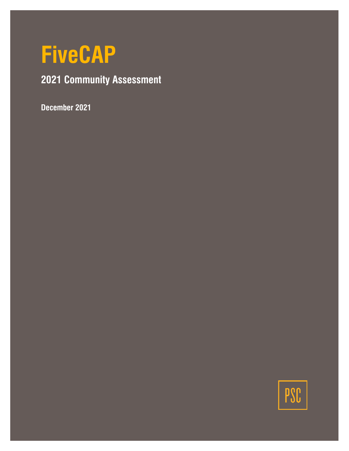# **FiveCAP**

# **2021 Community Assessment**

**December 2021**

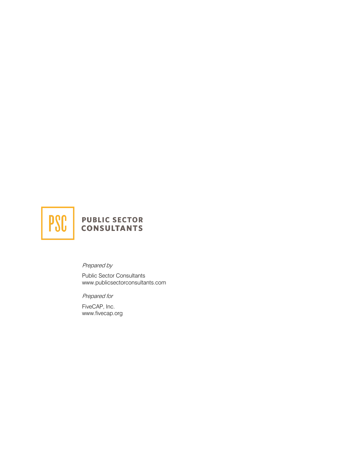

### **PUBLIC SECTOR CONSULTANTS**

Prepared by

Public Sector Consultants www.publicsectorconsultants.com

Prepared for

FiveCAP, Inc. www.fivecap.org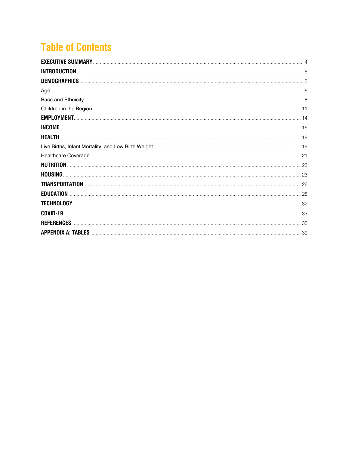## **Table of Contents**

| <b>INTRODUCTION.</b> |  |
|----------------------|--|
|                      |  |
|                      |  |
|                      |  |
|                      |  |
|                      |  |
| <b>INCOME</b>        |  |
| <b>HEALTH</b>        |  |
|                      |  |
|                      |  |
| <b>NUTRITION</b>     |  |
| <b>HOUSING</b>       |  |
|                      |  |
| <b>EDUCATION</b>     |  |
|                      |  |
| COVID-19             |  |
| <b>REFERENCES</b>    |  |
|                      |  |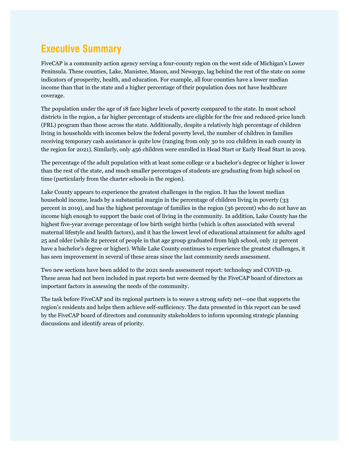### <span id="page-3-0"></span>**Executive Summary**

FiveCAP is a community action agency serving a four-county region on the west side of Michigan's Lower Peninsula. These counties, Lake, Manistee, Mason, and Newaygo, lag behind the rest of the state on some indicators of prosperity, health, and education. For example, all four counties have a lower median income than that in the state and a higher percentage of their population does not have healthcare coverage.

The population under the age of 18 face higher levels of poverty compared to the state. In most school districts in the region, a far higher percentage of students are eligible for the free and reduced-price lunch (FRL) program than those across the state. Additionally, despite a relatively high percentage of children living in households with incomes below the federal poverty level, the number of children in families receiving temporary cash assistance is quite low (ranging from only 30 to 102 children in each county in the region for 2021). Similarly, only 456 children were enrolled in Head Start or Early Head Start in 2019.

The percentage of the adult population with at least some college or a bachelor's degree or higher is lower than the rest of the state, and much smaller percentages of students are graduating from high school on time (particularly from the charter schools in the region).

Lake County appears to experience the greatest challenges in the region. It has the lowest median household income, leads by a substantial margin in the percentage of children living in poverty (33 percent in 2019), and has the highest percentage of families in the region (36 percent) who do not have an income high enough to support the basic cost of living in the community. In addition, Lake County has the highest five-year average percentage of low birth weight births (which is often associated with several maternal lifestyle and health factors), and it has the lowest level of educational attainment for adults aged 25 and older (while 82 percent of people in that age group graduated from high school, only 12 percent have a bachelor's degree or higher). While Lake County continues to experience the greatest challenges, it has seen improvement in several of these areas since the last community needs assessment.

Two new sections have been added to the 2021 needs assessment report: technology and COVID-19. These areas had not been included in past reports but were deemed by the FiveCAP board of directors as important factors in assessing the needs of the community.

The task before FiveCAP and its regional partners is to weave a strong safety net—one that supports the region's residents and helps them achieve self-sufficiency. The data presented in this report can be used by the FiveCAP board of directors and community stakeholders to inform upcoming strategic planning discussions and identify areas of priority.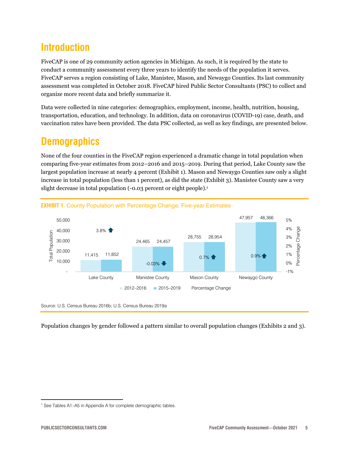### <span id="page-4-0"></span>**Introduction**

FiveCAP is one of 29 community action agencies in Michigan. As such, it is required by the state to conduct a community assessment every three years to identify the needs of the population it serves. FiveCAP serves a region consisting of Lake, Manistee, Mason, and Newaygo Counties. Its last community assessment was completed in October 2018. FiveCAP hired Public Sector Consultants (PSC) to collect and organize more recent data and briefly summarize it.

Data were collected in nine categories: demographics, employment, income, health, nutrition, housing, transportation, education, and technology. In addition, data on coronavirus (COVID-19) case, death, and vaccination rates have been provided. The data PSC collected, as well as key findings, are presented below.

### <span id="page-4-1"></span>**Demographics**

None of the four counties in the FiveCAP region experienced a dramatic change in total population when comparing five-year estimates from 2012–2016 and 2015–2019. During that period, Lake County saw the largest population increase at nearly 4 percent (Exhibit 1). Mason and Newaygo Counties saw only a slight increase in total population (less than 1 percent), as did the state (Exhibit 3). Manistee County saw a very slight decrease in total population (-0.03 percent or eight people).<sup>1</sup>





Source: U.S. Census Bureau 2016b; U.S. Census Bureau 2019a

Population changes by gender followed a pattern similar to overall population changes (Exhibits 2 and 3).

<sup>&</sup>lt;sup>1</sup> See Tables A1–A5 in Appendix A for complete demographic tables.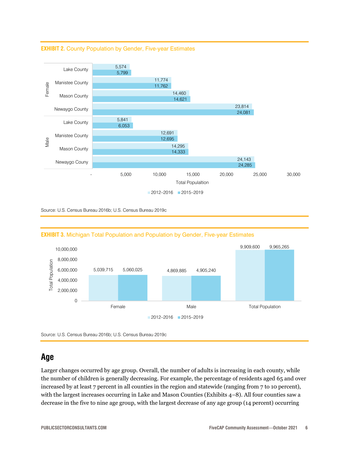



Source: U.S. Census Bureau 2016b; U.S. Census Bureau 2019c



### **EXHIBIT 3.** Michigan Total Population and Population by Gender, Five-year Estimates

### <span id="page-5-0"></span>**Age**

Larger changes occurred by age group. Overall, the number of adults is increasing in each county, while the number of children is generally decreasing. For example, the percentage of residents aged 65 and over increased by at least 7 percent in all counties in the region and statewide (ranging from 7 to 10 percent), with the largest increases occurring in Lake and Mason Counties (Exhibits 4–8). All four counties saw a decrease in the five to nine age group, with the largest decrease of any age group (14 percent) occurring

Source: U.S. Census Bureau 2016b; U.S. Census Bureau 2019c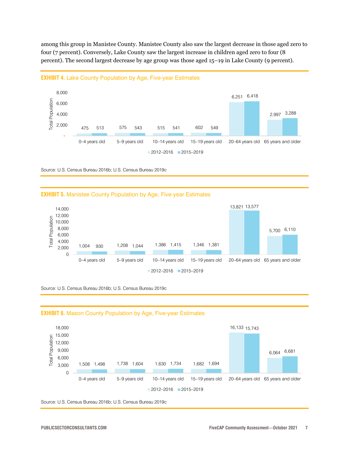among this group in Manistee County. Manistee County also saw the largest decrease in those aged zero to four (7 percent). Conversely, Lake County saw the largest increase in children aged zero to four (8 percent). The second largest decrease by age group was those aged 15–19 in Lake County (9 percent).



#### **EXHIBIT 4.** Lake County Population by Age, Five-year Estimates

Source: U.S. Census Bureau 2016b; U.S. Census Bureau 2019c







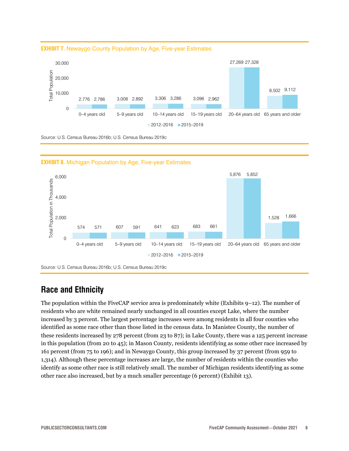









### <span id="page-7-0"></span>**Race and Ethnicity**

The population within the FiveCAP service area is predominately white (Exhibits 9–12). The number of residents who are white remained nearly unchanged in all counties except Lake, where the number increased by 3 percent. The largest percentage increases were among residents in all four counties who identified as some race other than those listed in the census data. In Manistee County, the number of these residents increased by 278 percent (from 23 to 87); in Lake County, there was a 125 percent increase in this population (from 20 to 45); in Mason County, residents identifying as some other race increased by 161 percent (from 75 to 196); and in Newaygo County, this group increased by 37 percent (from 959 to 1,314). Although these percentage increases are large, the number of residents within the counties who identify as some other race is still relatively small. The number of Michigan residents identifying as some other race also increased, but by a much smaller percentage (6 percent) (Exhibit 13).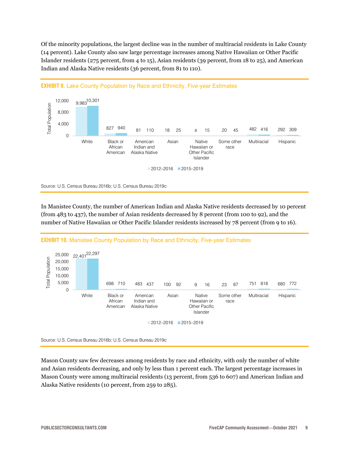Of the minority populations, the largest decline was in the number of multiracial residents in Lake County (14 percent). Lake County also saw large percentage increases among Native Hawaiian or Other Pacific Islander residents (275 percent, from 4 to 15), Asian residents (39 percent, from 18 to 25), and American Indian and Alaska Native residents (36 percent, from 81 to 110).



In Manistee County, the number of American Indian and Alaska Native residents decreased by 10 percent (from 483 to 437), the number of Asian residents decreased by 8 percent (from 100 to 92), and the number of Native Hawaiian or Other Pacific Islander residents increased by 78 percent (from 9 to 16).





Mason County saw few decreases among residents by race and ethnicity, with only the number of white and Asian residents decreasing, and only by less than 1 percent each. The largest percentage increases in Mason County were among multiracial residents (13 percent, from 536 to 607) and American Indian and Alaska Native residents (10 percent, from 259 to 285).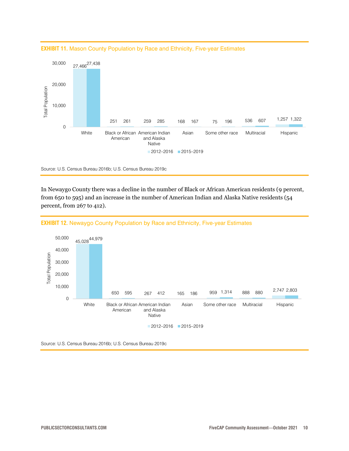

**EXHIBIT 11.** Mason County Population by Race and Ethnicity, Five-year Estimates

Source: U.S. Census Bureau 2016b; U.S. Census Bureau 2019c

In Newaygo County there was a decline in the number of Black or African American residents (9 percent, from 650 to 595) and an increase in the number of American Indian and Alaska Native residents (54 percent, from 267 to 412).



**EXHIBIT 12.** Newaygo County Population by Race and Ethnicity, Five-year Estimates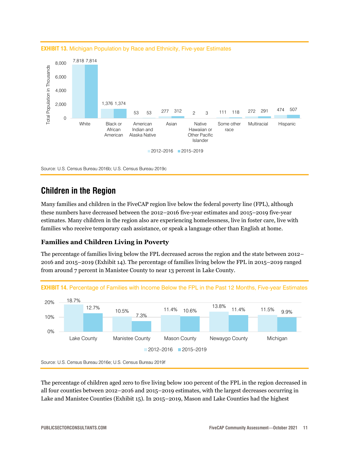

**EXHIBIT 13.** Michigan Population by Race and Ethnicity, Five-year Estimates

Source: U.S. Census Bureau 2016b; U.S. Census Bureau 2019c

### <span id="page-10-0"></span>**Children in the Region**

Many families and children in the FiveCAP region live below the federal poverty line (FPL), although these numbers have decreased between the 2012–2016 five-year estimates and 2015–2019 five-year estimates. Many children in the region also are experiencing homelessness, live in foster care, live with families who receive temporary cash assistance, or speak a language other than English at home.

### **Families and Children Living in Poverty**

The percentage of families living below the FPL decreased across the region and the state between 2012– 2016 and 2015–2019 (Exhibit 14). The percentage of families living below the FPL in 2015–2019 ranged from around 7 percent in Manistee County to near 13 percent in Lake County.



**EXHIBIT 14.** Percentage of Families with Income Below the FPL in the Past 12 Months, Five-year Estimates

The percentage of children aged zero to five living below 100 percent of the FPL in the region decreased in all four counties between 2012–2016 and 2015–2019 estimates, with the largest decreases occurring in Lake and Manistee Counties (Exhibit 15). In 2015–2019, Mason and Lake Counties had the highest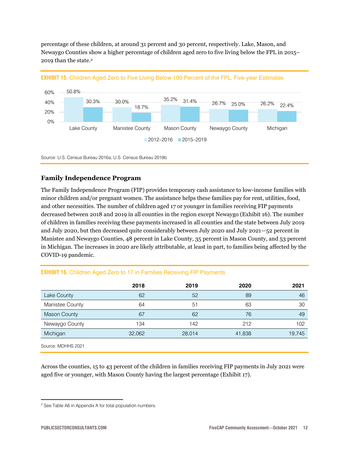percentage of these children, at around 31 percent and 30 percent, respectively. Lake, Mason, and Newaygo Counties show a higher percentage of children aged zero to five living below the FPL in 2015– 2019 than the state.<sup>2</sup>





Source: U.S. Census Bureau 2016a; U.S. Census Bureau 2019b

### **Family Independence Program**

The Family Independence Program (FIP) provides temporary cash assistance to low-income families with minor children and/or pregnant women. The assistance helps these families pay for rent, utilities, food, and other necessities. The number of children aged 17 or younger in families receiving FIP payments decreased between 2018 and 2019 in all counties in the region except Newaygo (Exhibit 16). The number of children in families receiving these payments increased in all counties and the state between July 2019 and July 2020, but then decreased quite considerably between July 2020 and July 2021—52 percent in Manistee and Newaygo Counties, 48 percent in Lake County, 35 percent in Mason County, and 53 percent in Michigan. The increases in 2020 are likely attributable, at least in part, to families being affected by the COVID-19 pandemic.

### **EXHIBIT 16.** Children Aged Zero to 17 in Families Receiving FIP Payments

|                     | 2018   | 2019   | 2020   | 2021   |
|---------------------|--------|--------|--------|--------|
| Lake County         | 62     | 52     | 89     | 46     |
| Manistee County     | 64     | 51     | 63     | 30     |
| <b>Mason County</b> | 67     | 62     | 76     | 49     |
| Newaygo County      | 134    | 142    | 212    | 102    |
| Michigan            | 32,062 | 28,014 | 41,838 | 19,745 |
|                     |        |        |        |        |

Source: MDHHS 2021

Across the counties, 15 to 43 percent of the children in families receiving FIP payments in July 2021 were aged five or younger, with Mason County having the largest percentage (Exhibit 17).

<sup>&</sup>lt;sup>2</sup> See Table A6 in Appendix A for total population numbers.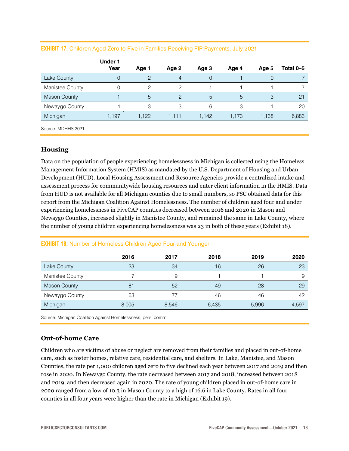|                     | <b>Under 1</b> |       |       |       |       |       |           |
|---------------------|----------------|-------|-------|-------|-------|-------|-----------|
|                     | Year           | Age 1 | Age 2 | Age 3 | Age 4 | Age 5 | Total 0-5 |
| Lake County         |                |       | 4     | 0     |       | 0     |           |
| Manistee County     |                |       |       |       |       |       |           |
| <b>Mason County</b> |                | 5     | ⌒     | 5     | 5     | 3     | 21        |
| Newaygo County      |                |       |       | 6     | 3     |       | 20        |
| Michigan            | 1,197          | 1,122 | 1.111 | 1,142 | 1.173 | 1,138 | 6,883     |
|                     |                |       |       |       |       |       |           |

#### **EXHIBIT 17.** Children Aged Zero to Five in Families Receiving FIP Payments, July 2021

Source: MDHHS 2021

### **Housing**

Data on the population of people experiencing homelessness in Michigan is collected using the Homeless Management Information System (HMIS) as mandated by the U.S. Department of Housing and Urban Development (HUD). Local Housing Assessment and Resource Agencies provide a centralized intake and assessment process for communitywide housing resources and enter client information in the HMIS. Data from HUD is not available for all Michigan counties due to small numbers, so PSC obtained data for this report from the Michigan Coalition Against Homelessness. The number of children aged four and under experiencing homelessness in FiveCAP counties decreased between 2016 and 2020 in Mason and Newaygo Counties, increased slightly in Manistee County, and remained the same in Lake County, where the number of young children experiencing homelessness was 23 in both of these years (Exhibit 18).

|                     | 2016  | 2017  | 2018  | 2019  | 2020  |
|---------------------|-------|-------|-------|-------|-------|
| Lake County         | 23    | 34    | 16    | 26    | 23    |
| Manistee County     |       | 9     |       |       | 9     |
| <b>Mason County</b> | 81    | 52    | 49    | 28    | 29    |
| Newaygo County      | 63    | 77    | 46    | 46    | 42    |
| Michigan            | 8,005 | 8,546 | 6,435 | 5,996 | 4,597 |

#### **EXHIBIT 18.** Number of Homeless Children Aged Four and Younger

Source: Michigan Coalition Against Homelessness, pers. comm.

### **Out-of-home Care**

Children who are victims of abuse or neglect are removed from their families and placed in out-of-home care, such as foster homes, relative care, residential care, and shelters. In Lake, Manistee, and Mason Counties, the rate per 1,000 children aged zero to five declined each year between 2017 and 2019 and then rose in 2020. In Newaygo County, the rate decreased between 2017 and 2018, increased between 2018 and 2019, and then decreased again in 2020. The rate of young children placed in out-of-home care in 2020 ranged from a low of 10.3 in Mason County to a high of 16.6 in Lake County. Rates in all four counties in all four years were higher than the rate in Michigan (Exhibit 19).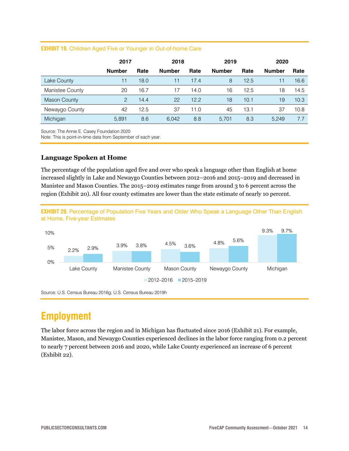|  |  |  | <b>EXHIBIT 19.</b> Children Aged Five or Younger in Out-of-home Care |
|--|--|--|----------------------------------------------------------------------|
|--|--|--|----------------------------------------------------------------------|

|                     |               | 2017<br>2018 |               | 2019 |               | 2020 |               |      |
|---------------------|---------------|--------------|---------------|------|---------------|------|---------------|------|
|                     | <b>Number</b> | Rate         | <b>Number</b> | Rate | <b>Number</b> | Rate | <b>Number</b> | Rate |
| Lake County         | 11            | 18.0         | 11            | 17.4 | 8             | 12.5 | 11            | 16.6 |
| Manistee County     | 20            | 16.7         | 17            | 14.0 | 16            | 12.5 | 18            | 14.5 |
| <b>Mason County</b> | 2             | 14.4         | 22            | 12.2 | 18            | 10.1 | 19            | 10.3 |
| Newaygo County      | 42            | 12.5         | 37            | 11.0 | 45            | 13.1 | 37            | 10.8 |
| Michigan            | 5.891         | 8.6          | 6.042         | 8.8  | 5.701         | 8.3  | 5.249         | 7.7  |

Source: The Annie E. Casey Foundation 2020

Note: This is point-in-time data from September of each year.

### **Language Spoken at Home**

The percentage of the population aged five and over who speak a language other than English at home increased slightly in Lake and Newaygo Counties between 2012–2016 and 2015–2019 and decreased in Manistee and Mason Counties. The 2015–2019 estimates range from around 3 to 6 percent across the region (Exhibit 20). All four county estimates are lower than the state estimate of nearly 10 percent.



2012–2016 2015–2019

Source: U.S. Census Bureau 2016g; U.S. Census Bureau 2019h

### <span id="page-13-0"></span>**Employment**

The labor force across the region and in Michigan has fluctuated since 2016 (Exhibit 21). For example, Manistee, Mason, and Newaygo Counties experienced declines in the labor force ranging from 0.2 percent to nearly 7 percent between 2016 and 2020, while Lake County experienced an increase of 6 percent (Exhibit 22).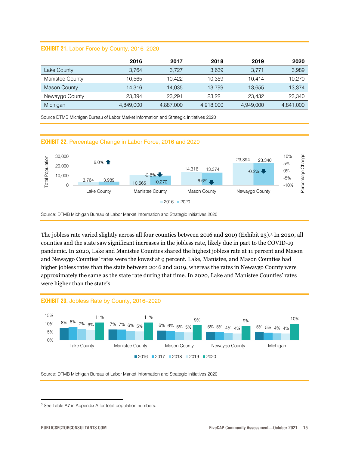### **EXHIBIT 21.** Labor Force by County, 2016–2020

|                 | 2016      | 2017      | 2018      | 2019      | 2020      |
|-----------------|-----------|-----------|-----------|-----------|-----------|
| Lake County     | 3.764     | 3.727     | 3.639     | 3.771     | 3,989     |
| Manistee County | 10.565    | 10.422    | 10.359    | 10.414    | 10,270    |
| Mason County    | 14.316    | 14.035    | 13.799    | 13.655    | 13,374    |
| Newaygo County  | 23,394    | 23.291    | 23.221    | 23.432    | 23,340    |
| Michigan        | 4.849.000 | 4,887,000 | 4,918,000 | 4.949.000 | 4,841,000 |

Source DTMB Michigan Bureau of Labor Market Information and Strategic Initiatives 2020





Source: DTMB Michigan Bureau of Labor Market Information and Strategic Initiatives 2020

The jobless rate varied slightly across all four counties between 2016 and 2019 (Exhibit 23). <sup>3</sup> In 2020, all counties and the state saw significant increases in the jobless rate, likely due in part to the COVID-19 pandemic. In 2020, Lake and Manistee Counties shared the highest jobless rate at 11 percent and Mason and Newaygo Counties' rates were the lowest at 9 percent. Lake, Manistee, and Mason Counties had higher jobless rates than the state between 2016 and 2019, whereas the rates in Newaygo County were approximately the same as the state rate during that time. In 2020, Lake and Manistee Counties' rates were higher than the state's.

#### **EXHIBIT 23.** Jobless Rate by County, 2016–2020



Source: DTMB Michigan Bureau of Labor Market Information and Strategic Initiatives 2020

<sup>&</sup>lt;sup>3</sup> See Table A7 in Appendix A for total population numbers.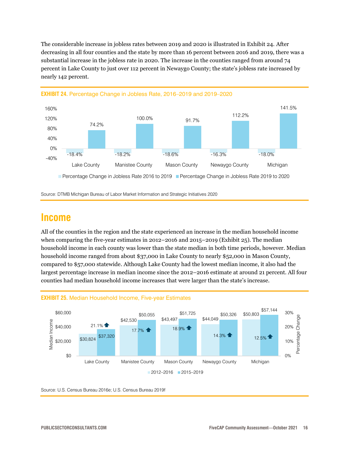The considerable increase in jobless rates between 2019 and 2020 is illustrated in Exhibit 24. After decreasing in all four counties and the state by more than 16 percent between 2016 and 2019, there was a substantial increase in the jobless rate in 2020. The increase in the counties ranged from around 74 percent in Lake County to just over 112 percent in Newaygo County; the state's jobless rate increased by nearly 142 percent.





Source: DTMB Michigan Bureau of Labor Market Information and Strategic Initiatives 2020

### <span id="page-15-0"></span>**Income**

All of the counties in the region and the state experienced an increase in the median household income when comparing the five-year estimates in 2012–2016 and 2015–2019 (Exhibit 25). The median household income in each county was lower than the state median in both time periods, however. Median household income ranged from about \$37,000 in Lake County to nearly \$52,000 in Mason County, compared to \$57,000 statewide. Although Lake County had the lowest median income, it also had the largest percentage increase in median income since the 2012–2016 estimate at around 21 percent. All four counties had median household income increases that were larger than the state's increase.



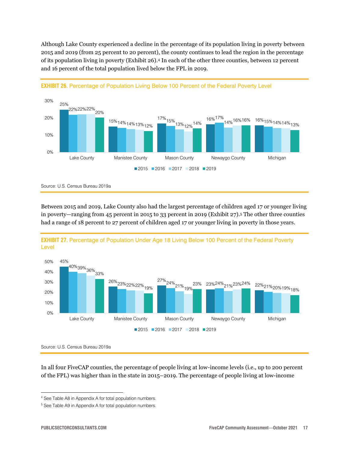Although Lake County experienced a decline in the percentage of its population living in poverty between 2015 and 2019 (from 25 percent to 20 percent), the county continues to lead the region in the percentage of its population living in poverty (Exhibit 26). <sup>4</sup> In each of the other three counties, between 12 percent and 16 percent of the total population lived below the FPL in 2019.





Between 2015 and 2019, Lake County also had the largest percentage of children aged 17 or younger living in poverty—ranging from 45 percent in 2015 to 33 percent in 2019 (Exhibit 27).<sup>5</sup> The other three counties had a range of 18 percent to 27 percent of children aged 17 or younger living in poverty in those years.





In all four FiveCAP counties, the percentage of people living at low-income levels (i.e., up to 200 percent of the FPL) was higher than in the state in 2015–2019. The percentage of people living at low-income

Source: U.S. Census Bureau 2019a

<sup>4</sup> See Table A8 in Appendix A for total population numbers.

<sup>5</sup> See Table A9 in Appendix A for total population numbers.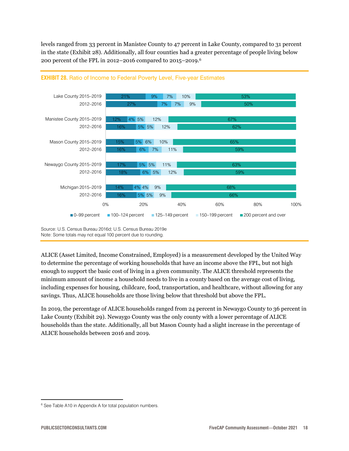levels ranged from 33 percent in Manistee County to 47 percent in Lake County, compared to 31 percent in the state (Exhibit 28). Additionally, all four counties had a greater percentage of people living below 200 percent of the FPL in 2012–2016 compared to 2015–2019. 6



#### **EXHIBIT 28.** Ratio of Income to Federal Poverty Level, Five-year Estimates

ALICE (Asset Limited, Income Constrained, Employed) is a measurement developed by the United Way to determine the percentage of working households that have an income above the FPL, but not high enough to support the basic cost of living in a given community. The ALICE threshold represents the minimum amount of income a household needs to live in a county based on the average cost of living, including expenses for housing, childcare, food, transportation, and healthcare, without allowing for any savings. Thus, ALICE households are those living below that threshold but above the FPL.

In 2019, the percentage of ALICE households ranged from 24 percent in Newaygo County to 36 percent in Lake County (Exhibit 29). Newaygo County was the only county with a lower percentage of ALICE households than the state. Additionally, all but Mason County had a slight increase in the percentage of ALICE households between 2016 and 2019.

Source: U.S. Census Bureau 2016d; U.S. Census Bureau 2019e Note: Some totals may not equal 100 percent due to rounding.

<sup>&</sup>lt;sup>6</sup> See Table A10 in Appendix A for total population numbers.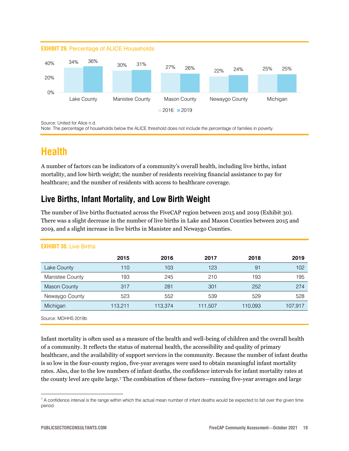

Source: United for Alice n.d.

Note: The percentage of households below the ALICE threshold does not include the percentage of families in poverty.

### <span id="page-18-0"></span>**Health**

A number of factors can be indicators of a community's overall health, including live births, infant mortality, and low birth weight; the number of residents receiving financial assistance to pay for healthcare; and the number of residents with access to healthcare coverage.

### <span id="page-18-1"></span>**Live Births, Infant Mortality, and Low Birth Weight**

The number of live births fluctuated across the FiveCAP region between 2015 and 2019 (Exhibit 30). There was a slight decrease in the number of live births in Lake and Mason Counties between 2015 and 2019, and a slight increase in live births in Manistee and Newaygo Counties.

| <b>EXHIBII 30. LIVE BIRTING</b> |         |         |         |         |         |  |  |
|---------------------------------|---------|---------|---------|---------|---------|--|--|
|                                 | 2015    | 2016    | 2017    | 2018    | 2019    |  |  |
| Lake County                     | 110     | 103     | 123     | 91      | 102     |  |  |
| Manistee County                 | 193     | 245     | 210     | 193     | 195     |  |  |
| <b>Mason County</b>             | 317     | 281     | 301     | 252     | 274     |  |  |
| Newaygo County                  | 523     | 552     | 539     | 529     | 528     |  |  |
| Michigan                        | 113,211 | 113,374 | 111,507 | 110,093 | 107,917 |  |  |
|                                 |         |         |         |         |         |  |  |

#### **EXHIBIT 30.** Live Births

Source: MDHHS 2019b

Infant mortality is often used as a measure of the health and well-being of children and the overall health of a community. It reflects the status of maternal health, the accessibility and quality of primary healthcare, and the availability of support services in the community. Because the number of infant deaths is so low in the four-county region, five-year averages were used to obtain meaningful infant mortality rates. Also, due to the low numbers of infant deaths, the confidence intervals for infant mortality rates at the county level are quite large.<sup>7</sup> The combination of these factors—running five-year averages and large

 $7$  A confidence interval is the range within which the actual mean number of infant deaths would be expected to fall over the given time period.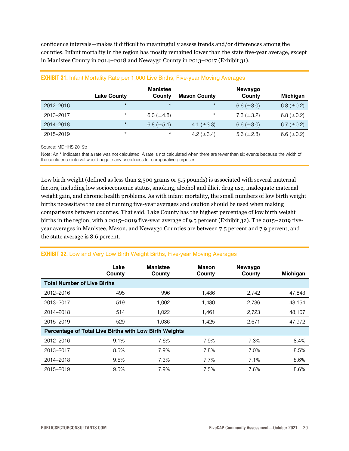confidence intervals—makes it difficult to meaningfully assess trends and/or differences among the counties. Infant mortality in the region has mostly remained lower than the state five-year average, except in Manistee County in 2014–2018 and Newaygo County in 2013–2017 (Exhibit 31).

|           | <b>Lake County</b> | <b>Manistee</b><br>County | <b>Mason County</b> | Newaygo<br>County | <b>Michigan</b>  |
|-----------|--------------------|---------------------------|---------------------|-------------------|------------------|
| 2012-2016 | $\star$            | $\star$                   | $\star$             | 6.6 $(\pm 3.0)$   | 6.8 $(\pm 0.2)$  |
| 2013-2017 | $\star$            | 6.0 $(\pm 4.8)$           | $\star$             | 7.3 $(\pm 3.2)$   | 6.8 $(\pm 0.2)$  |
| 2014-2018 | $\star$            | 6.8 $(\pm 5.1)$           | 4.1 $(\pm 3.3)$     | 6.6 $(\pm 3.0)$   | 6.7 ( $\pm$ 0.2) |
| 2015-2019 | $^\star$           | $^\star$                  | 4.2 $(\pm 3.4)$     | 5.6 $(\pm 2.8)$   | 6.6 $(\pm 0.2)$  |

#### **EXHIBIT 31.** Infant Mortality Rate per 1,000 Live Births, Five-year Moving Averages

Source: MDHHS 2019b

Note: An \* indicates that a rate was not calculated. A rate is not calculated when there are fewer than six events because the width of the confidence interval would negate any usefulness for comparative purposes.

Low birth weight (defined as less than 2,500 grams or 5.5 pounds) is associated with several maternal factors, including low socioeconomic status, smoking, alcohol and illicit drug use, inadequate maternal weight gain, and chronic health problems. As with infant mortality, the small numbers of low birth weight births necessitate the use of running five-year averages and caution should be used when making comparisons between counties. That said, Lake County has the highest percentage of low birth weight births in the region, with a 2015–2019 five-year average of 9.5 percent (Exhibit 32). The 2015–2019 fiveyear averages in Manistee, Mason, and Newaygo Counties are between 7.5 percent and 7.9 percent, and the state average is 8.6 percent.

### **EXHIBIT 32.** Low and Very Low Birth Weight Births, Five-year Moving Averages

|                                                        | Lake<br>County | <b>Manistee</b><br>County | <b>Mason</b><br>County | Newaygo<br>County | Michigan |
|--------------------------------------------------------|----------------|---------------------------|------------------------|-------------------|----------|
| <b>Total Number of Live Births</b>                     |                |                           |                        |                   |          |
| 2012-2016                                              | 495            | 996                       | 1,486                  | 2,742             | 47,843   |
| 2013-2017                                              | 519            | 1,002                     | 1,480                  | 2,736             | 48,154   |
| 2014-2018                                              | 514            | 1,022                     | 1,461                  | 2,723             | 48,107   |
| 2015-2019                                              | 529            | 1,036                     | 1,425                  | 2,671             | 47,972   |
| Percentage of Total Live Births with Low Birth Weights |                |                           |                        |                   |          |
| 2012-2016                                              | 9.1%           | 7.6%                      | 7.9%                   | 7.3%              | 8.4%     |
| 2013-2017                                              | 8.5%           | 7.9%                      | 7.8%                   | 7.0%              | 8.5%     |
| 2014-2018                                              | 9.5%           | 7.3%                      | 7.7%                   | 7.1%              | 8.6%     |
| 2015-2019                                              | 9.5%           | 7.9%                      | 7.5%                   | 7.6%              | 8.6%     |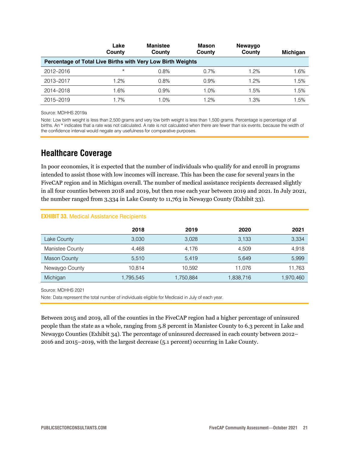|                                                             | Lake<br>County | <b>Manistee</b><br>County | Mason<br>County | Newaygo<br>County | Michigan |
|-------------------------------------------------------------|----------------|---------------------------|-----------------|-------------------|----------|
| Percentage of Total Live Births with Very Low Birth Weights |                |                           |                 |                   |          |
| 2012-2016                                                   | $\star$        | 0.8%                      | 0.7%            | 1.2%              | 1.6%     |
| 2013-2017                                                   | 1.2%           | 0.8%                      | 0.9%            | 1.2%              | 1.5%     |
| 2014-2018                                                   | 1.6%           | 0.9%                      | 1.0%            | 1.5%              | 1.5%     |
| 2015-2019                                                   | 1.7%           | 1.0%                      | 1.2%            | 1.3%              | 1.5%     |

Source: MDHHS 2019a

Note: Low birth weight is less than 2,500 grams and very low birth weight is less than 1,500 grams. Percentage is percentage of all births. An \* indicates that a rate was not calculated. A rate is not calculated when there are fewer than six events, because the width of the confidence interval would negate any usefulness for comparative purposes.

### <span id="page-20-0"></span>**Healthcare Coverage**

In poor economies, it is expected that the number of individuals who qualify for and enroll in programs intended to assist those with low incomes will increase. This has been the case for several years in the FiveCAP region and in Michigan overall. The number of medical assistance recipients decreased slightly in all four counties between 2018 and 2019, but then rose each year between 2019 and 2021. In July 2021, the number ranged from 3,334 in Lake County to 11,763 in Newaygo County (Exhibit 33).

### **EXHIBIT 33.** Medical Assistance Recipients

|                 | 2018      | 2019      | 2020      | 2021      |
|-----------------|-----------|-----------|-----------|-----------|
| Lake County     | 3,030     | 3,028     | 3,133     | 3,334     |
| Manistee County | 4.468     | 4.176     | 4.509     | 4.918     |
| Mason County    | 5.510     | 5.419     | 5.649     | 5,999     |
| Newaygo County  | 10.814    | 10.592    | 11.076    | 11,763    |
| Michigan        | 1,795,545 | 1,750,884 | 1,838,716 | 1,970,460 |

Source: MDHHS 2021

Note: Data represent the total number of individuals eligible for Medicaid in July of each year.

Between 2015 and 2019, all of the counties in the FiveCAP region had a higher percentage of uninsured people than the state as a whole, ranging from 5.8 percent in Manistee County to 6.3 percent in Lake and Newaygo Counties (Exhibit 34). The percentage of uninsured decreased in each county between 2012– 2016 and 2015–2019, with the largest decrease (5.1 percent) occurring in Lake County.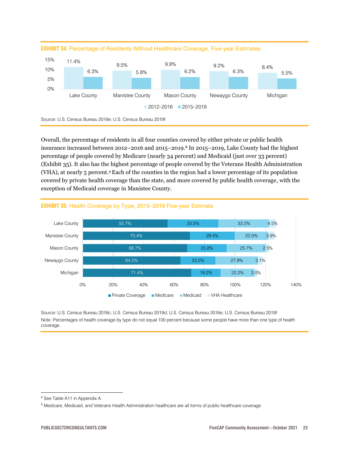

Overall, the percentage of residents in all four counties covered by either private or public health insurance increased between  $2012-2016$  and  $2015-2019$ .<sup>8</sup> In  $2015-2019$ , Lake County had the highest percentage of people covered by Medicare (nearly 34 percent) and Medicaid (just over 33 percent) (Exhibit 35). It also has the highest percentage of people covered by the Veterans Health Administration (VHA), at nearly 5 percent.9Each of the counties in the region had a lower percentage of its population covered by private health coverage than the state, and more covered by public health coverage, with the exception of Medicaid coverage in Manistee County.



#### **EXHIBIT 35.** Health Coverage by Type, 2015–2019 Five-year Estimate

Source: U.S. Census Bureau 2016c; U.S. Census Bureau 2019d; U.S. Census Bureau 2016e; U.S. Census Bureau 2019f Note: Percentages of health coverage by type do not equal 100 percent because some people have more than one type of health coverage.

<sup>&</sup>lt;sup>8</sup> See Table A11 in Appendix A.

<sup>&</sup>lt;sup>9</sup> Medicare, Medicaid, and Veterans Health Administration healthcare are all forms of public healthcare coverage.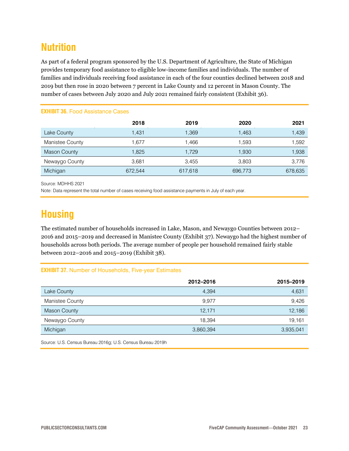### <span id="page-22-0"></span>**Nutrition**

As part of a federal program sponsored by the U.S. Department of Agriculture, the State of Michigan provides temporary food assistance to eligible low-income families and individuals. The number of families and individuals receiving food assistance in each of the four counties declined between 2018 and 2019 but then rose in 2020 between 7 percent in Lake County and 12 percent in Mason County. The number of cases between July 2020 and July 2021 remained fairly consistent (Exhibit 36).

| <b>EXHIBIT 36. Food Assistance Cases</b> |  |  |  |
|------------------------------------------|--|--|--|
|                                          |  |  |  |

|                     | 2018    | 2019    | 2020    | 2021    |
|---------------------|---------|---------|---------|---------|
| Lake County         | 1.431   | 1.369   | 1,463   | 1,439   |
| Manistee County     | 1.677   | 1.466   | 1.593   | 1,592   |
| <b>Mason County</b> | 1.825   | 1.729   | 1,930   | 1,938   |
| Newaygo County      | 3.681   | 3.455   | 3,803   | 3,776   |
| Michigan            | 672,544 | 617,618 | 696,773 | 678,635 |

Source: MDHHS 2021

Note: Data represent the total number of cases receiving food assistance payments in July of each year.

### <span id="page-22-1"></span>**Housing**

The estimated number of households increased in Lake, Mason, and Newaygo Counties between 2012– 2016 and 2015–2019 and decreased in Manistee County (Exhibit 37). Newaygo had the highest number of households across both periods. The average number of people per household remained fairly stable between 2012–2016 and 2015–2019 (Exhibit 38).

### **EXHIBIT 37.** Number of Households, Five-year Estimates

|                     | 2012-2016 | 2015-2019 |
|---------------------|-----------|-----------|
| Lake County         | 4.394     | 4,631     |
| Manistee County     | 9.977     | 9,426     |
| <b>Mason County</b> | 12,171    | 12,186    |
| Newaygo County      | 18.394    | 19.161    |
| Michigan            | 3,860,394 | 3,935,041 |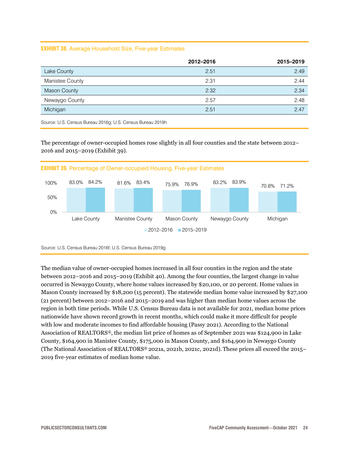#### **EXHIBIT 38.** Average Household Size, Five-year Estimates

|                     | 2012-2016 | 2015-2019 |
|---------------------|-----------|-----------|
| Lake County         | 2.51      | 2.49      |
| Manistee County     | 2.31      | 2.44      |
| <b>Mason County</b> | 2.32      | 2.34      |
| Newaygo County      | 2.57      | 2.48      |
| Michigan            | 2.51      | 2.47      |

Source: U.S. Census Bureau 2016g; U.S. Census Bureau 2019h

The percentage of owner-occupied homes rose slightly in all four counties and the state between 2012– 2016 and 2015–2019 (Exhibit 39).



Source: U.S. Census Bureau 2016f; U.S. Census Bureau 2019g

The median value of owner-occupied homes increased in all four counties in the region and the state between 2012–2016 and 2015–2019 (Exhibit 40). Among the four counties, the largest change in value occurred in Newaygo County, where home values increased by \$20,100, or 20 percent. Home values in Mason County increased by \$18,200 (15 percent). The statewide median home value increased by \$27,100 (21 percent) between 2012–2016 and 2015–2019 and was higher than median home values across the region in both time periods. While U.S. Census Bureau data is not available for 2021, median home prices nationwide have shown record growth in recent months, which could make it more difficult for people with low and moderate incomes to find affordable housing (Passy 2021). According to the National Association of REALTORS®, the median list price of homes as of September 2021 was \$124,900 in Lake County, \$164,900 in Manistee County, \$175,000 in Mason County, and \$164,900 in Newaygo County (The National Association of REALTORS® 2021a, 2021b, 2021c, 2021d). These prices all exceed the 2015– 2019 five-year estimates of median home value.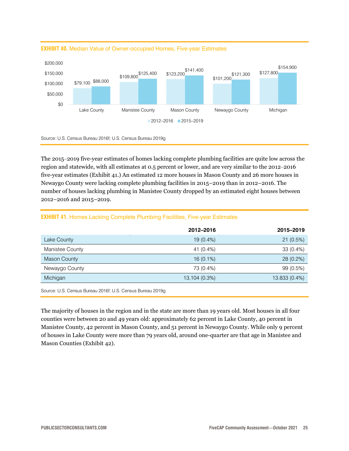





The 2015–2019 five-year estimates of homes lacking complete plumbing facilities are quite low across the region and statewide, with all estimates at 0.5 percent or lower, and are very similar to the 2012-2016 five-year estimates (Exhibit 41.) An estimated 12 more houses in Mason County and 26 more houses in Newaygo County were lacking complete plumbing facilities in 2015–2019 than in 2012–2016. The number of houses lacking plumbing in Manistee County dropped by an estimated eight houses between 2012–2016 and 2015–2019.

#### **EXHIBIT 41.** Homes Lacking Complete Plumbing Facilities, Five-year Estimates

|                     | 2012-2016     | 2015-2019     |
|---------------------|---------------|---------------|
| Lake County         | $19(0.4\%)$   | 21(0.5%)      |
| Manistee County     | 41 (0.4%)     | 33 (0.4%)     |
| <b>Mason County</b> | $16(0.1\%)$   | 28 (0.2%)     |
| Newaygo County      | 73 (0.4%)     | 99 (0.5%)     |
| Michigan            | 13,104 (0.3%) | 13.833 (0.4%) |

Source: U.S. Census Bureau 2016f; U.S. Census Bureau 2019g

The majority of houses in the region and in the state are more than 19 years old. Most houses in all four counties were between 20 and 49 years old: approximately 62 percent in Lake County, 40 percent in Manistee County, 42 percent in Mason County, and 51 percent in Newaygo County. While only 9 percent of houses in Lake County were more than 79 years old, around one-quarter are that age in Manistee and Mason Counties (Exhibit 42).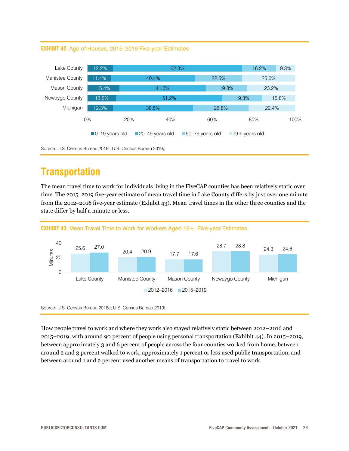





### <span id="page-25-0"></span>**Transportation**

The mean travel time to work for individuals living in the FiveCAP counties has been relatively static over time. The 2015–2019 five-year estimate of mean travel time in Lake County differs by just over one minute from the 2012–2016 five-year estimate (Exhibit 43). Mean travel times in the other three counties and the state differ by half a minute or less.





Source: U.S. Census Bureau 2016e; U.S. Census Bureau 2019f

How people travel to work and where they work also stayed relatively static between 2012–2016 and 2015–2019, with around 90 percent of people using personal transportation (Exhibit 44). In 2015–2019, between approximately 3 and 6 percent of people across the four counties worked from home, between around 2 and 3 percent walked to work, approximately 1 percent or less used public transportation, and between around 1 and 2 percent used another means of transportation to travel to work.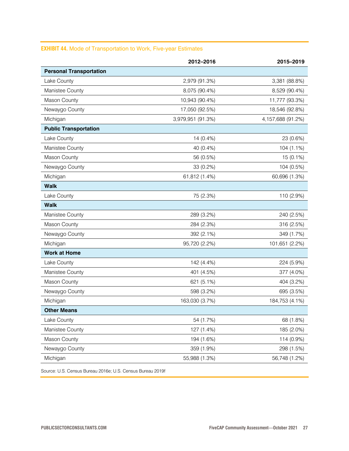### **EXHIBIT 44.** Mode of Transportation to Work, Five-year Estimates

|                                | 2012-2016         | 2015-2019         |
|--------------------------------|-------------------|-------------------|
| <b>Personal Transportation</b> |                   |                   |
| Lake County                    | 2,979 (91.3%)     | 3,381 (88.8%)     |
| Manistee County                | 8,075 (90.4%)     | 8,529 (90.4%)     |
| Mason County                   | 10,943 (90.4%)    | 11,777 (93.3%)    |
| Newaygo County                 | 17,050 (92.5%)    | 18,546 (92.8%)    |
| Michigan                       | 3,979,951 (91.3%) | 4,157,688 (91.2%) |
| <b>Public Transportation</b>   |                   |                   |
| Lake County                    | 14 (0.4%)         | 23 (0.6%)         |
| Manistee County                | 40 (0.4%)         | 104 (1.1%)        |
| Mason County                   | 56 (0.5%)         | 15 (0.1%)         |
| Newaygo County                 | 33 (0.2%)         | 104 (0.5%)        |
| Michigan                       | 61,812 (1.4%)     | 60,696 (1.3%)     |
| <b>Walk</b>                    |                   |                   |
| Lake County                    | 75 (2.3%)         | 110 (2.9%)        |
| <b>Walk</b>                    |                   |                   |
| Manistee County                | 289 (3.2%)        | 240 (2.5%)        |
| Mason County                   | 284 (2.3%)        | 316 (2.5%)        |
| Newaygo County                 | 392 (2.1%)        | 349 (1.7%)        |
| Michigan                       | 95,720 (2.2%)     | 101,651 (2.2%)    |
| <b>Work at Home</b>            |                   |                   |
| Lake County                    | 142 (4.4%)        | 224 (5.9%)        |
| Manistee County                | 401 (4.5%)        | 377 (4.0%)        |
| Mason County                   | 621 (5.1%)        | 404 (3.2%)        |
| Newaygo County                 | 598 (3.2%)        | 695 (3.5%)        |
| Michigan                       | 163,030 (3.7%)    | 184,753 (4.1%)    |
| <b>Other Means</b>             |                   |                   |
| Lake County                    | 54 (1.7%)         | 68 (1.8%)         |
| Manistee County                | 127 (1.4%)        | 185 (2.0%)        |
| Mason County                   | 194 (1.6%)        | 114 (0.9%)        |
| Newaygo County                 | 359 (1.9%)        | 298 (1.5%)        |
| Michigan                       | 55,988 (1.3%)     | 56,748 (1.2%)     |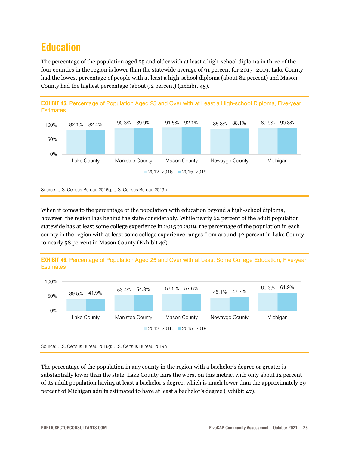### <span id="page-27-0"></span>**Education**

The percentage of the population aged 25 and older with at least a high-school diploma in three of the four counties in the region is lower than the statewide average of 91 percent for 2015–2019. Lake County had the lowest percentage of people with at least a high-school diploma (about 82 percent) and Mason County had the highest percentage (about 92 percent) (Exhibit 45).



When it comes to the percentage of the population with education beyond a high-school diploma, however, the region lags behind the state considerably. While nearly 62 percent of the adult population statewide has at least some college experience in 2015 to 2019, the percentage of the population in each county in the region with at least some college experience ranges from around 42 percent in Lake County to nearly 58 percent in Mason County (Exhibit 46).

### **EXHIBIT 46.** Percentage of Population Aged 25 and Over with at Least Some College Education, Five-year **Estimates**





The percentage of the population in any county in the region with a bachelor's degree or greater is substantially lower than the state. Lake County fairs the worst on this metric, with only about 12 percent of its adult population having at least a bachelor's degree, which is much lower than the approximately 29 percent of Michigan adults estimated to have at least a bachelor's degree (Exhibit 47).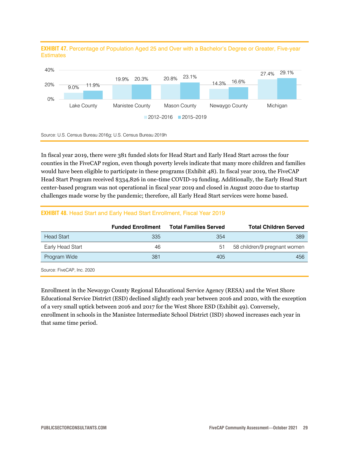**EXHIBIT 47.** Percentage of Population Aged 25 and Over with a Bachelor's Degree or Greater, Five-year **Estimates** 



Source: U.S. Census Bureau 2016g; U.S. Census Bureau 2019h

In fiscal year 2019, there were 381 funded slots for Head Start and Early Head Start across the four counties in the FiveCAP region, even though poverty levels indicate that many more children and families would have been eligible to participate in these programs (Exhibit 48). In fiscal year 2019, the FiveCAP Head Start Program received \$334,826 in one-time COVID-19 funding. Additionally, the Early Head Start center-based program was not operational in fiscal year 2019 and closed in August 2020 due to startup challenges made worse by the pandemic; therefore, all Early Head Start services were home based.

### **EXHIBIT 48.** Head Start and Early Head Start Enrollment, Fiscal Year 2019

|                            | <b>Funded Enrollment</b> | <b>Total Families Served</b> | <b>Total Children Served</b> |
|----------------------------|--------------------------|------------------------------|------------------------------|
| <b>Head Start</b>          | 335                      | 354                          | 389                          |
| Early Head Start           | 46                       | 51                           | 58 children/9 pregnant women |
| Program Wide               | 381                      | 405                          | 456                          |
| Source: FiveCAP, Inc. 2020 |                          |                              |                              |

Enrollment in the Newaygo County Regional Educational Service Agency (RESA) and the West Shore Educational Service District (ESD) declined slightly each year between 2016 and 2020, with the exception of a very small uptick between 2016 and 2017 for the West Shore ESD (Exhibit 49). Conversely, enrollment in schools in the Manistee Intermediate School District (ISD) showed increases each year in that same time period.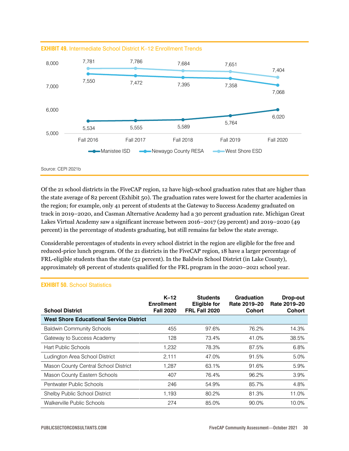

**EXHIBIT 49.** Intermediate School District K–12 Enrollment Trends

Of the 21 school districts in the FiveCAP region, 12 have high-school graduation rates that are higher than the state average of 82 percent (Exhibit 50). The graduation rates were lowest for the charter academies in the region; for example, only 41 percent of students at the Gateway to Success Academy graduated on track in 2019–2020, and Casman Alternative Academy had a 30 percent graduation rate. Michigan Great Lakes Virtual Academy saw a significant increase between 2016–2017 (29 percent) and 2019–2020 (49 percent) in the percentage of students graduating, but still remains far below the state average.

Considerable percentages of students in every school district in the region are eligible for the free and reduced-price lunch program. Of the 21 districts in the FiveCAP region, 18 have a larger percentage of FRL-eligible students than the state (52 percent). In the Baldwin School District (in Lake County), approximately 98 percent of students qualified for the FRL program in the 2020–2021 school year.

| <b>School District</b>                         | $K-12$<br><b>Enrollment</b><br><b>Fall 2020</b> | <b>Students</b><br><b>Eligible for</b><br>FRL Fall 2020 | Graduation<br>Rate 2019-20<br><b>Cohort</b> | Drop-out<br>Rate 2019-20<br><b>Cohort</b> |
|------------------------------------------------|-------------------------------------------------|---------------------------------------------------------|---------------------------------------------|-------------------------------------------|
| <b>West Shore Educational Service District</b> |                                                 |                                                         |                                             |                                           |
| <b>Baldwin Community Schools</b>               | 455                                             | 97.6%                                                   | 76.2%                                       | 14.3%                                     |
| Gateway to Success Academy                     | 128                                             | 73.4%                                                   | 41.0%                                       | 38.5%                                     |
| Hart Public Schools                            | 1,232                                           | 78.3%                                                   | 87.5%                                       | 6.8%                                      |
| Ludington Area School District                 | 2,111                                           | 47.0%                                                   | 91.5%                                       | 5.0%                                      |
| Mason County Central School District           | 1.287                                           | 63.1%                                                   | 91.6%                                       | 5.9%                                      |
| Mason County Eastern Schools                   | 407                                             | 76.4%                                                   | 96.2%                                       | 3.9%                                      |
| Pentwater Public Schools                       | 246                                             | 54.9%                                                   | 85.7%                                       | 4.8%                                      |
| Shelby Public School District                  | 1,193                                           | 80.2%                                                   | 81.3%                                       | 11.0%                                     |
| Walkerville Public Schools                     | 274                                             | 85.0%                                                   | 90.0%                                       | 10.0%                                     |

### **EXHIBIT 50.** School Statistics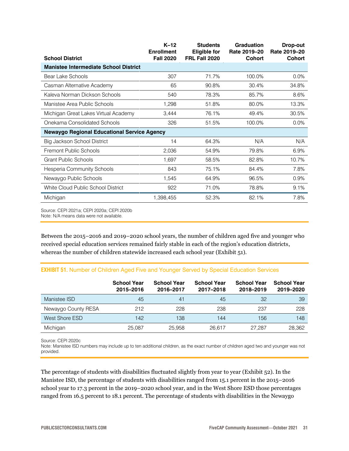|                                                    | $K-12$<br><b>Enrollment</b> | <b>Students</b><br><b>Eligible for</b> | <b>Graduation</b><br>Rate 2019-20 | Drop-out<br>Rate 2019-20 |
|----------------------------------------------------|-----------------------------|----------------------------------------|-----------------------------------|--------------------------|
| <b>School District</b>                             | <b>Fall 2020</b>            | FRL Fall 2020                          | <b>Cohort</b>                     | <b>Cohort</b>            |
| <b>Manistee Intermediate School District</b>       |                             |                                        |                                   |                          |
| Bear Lake Schools                                  | 307                         | 71.7%                                  | 100.0%                            | 0.0%                     |
| Casman Alternative Academy                         | 65                          | 90.8%                                  | 30.4%                             | 34.8%                    |
| Kaleva Norman Dickson Schools                      | 540                         | 78.3%                                  | 85.7%                             | 8.6%                     |
| Manistee Area Public Schools                       | 1,298                       | 51.8%                                  | 80.0%                             | 13.3%                    |
| Michigan Great Lakes Virtual Academy               | 3,444                       | 76.1%                                  | 49.4%                             | 30.5%                    |
| Onekama Consolidated Schools                       | 326                         | 51.5%                                  | 100.0%                            | 0.0%                     |
| <b>Newaygo Regional Educational Service Agency</b> |                             |                                        |                                   |                          |
| <b>Big Jackson School District</b>                 | 14                          | 64.3%                                  | N/A                               | N/A                      |
| <b>Fremont Public Schools</b>                      | 2,036                       | 54.9%                                  | 79.8%                             | 6.9%                     |
| <b>Grant Public Schools</b>                        | 1,697                       | 58.5%                                  | 82.8%                             | 10.7%                    |
| <b>Hesperia Community Schools</b>                  | 843                         | 75.1%                                  | 84.4%                             | 7.8%                     |
| Newaygo Public Schools                             | 1,545                       | 64.9%                                  | 96.5%                             | 0.9%                     |
| White Cloud Public School District                 | 922                         | 71.0%                                  | 78.8%                             | 9.1%                     |
| Michigan                                           | 1,398,455                   | 52.3%                                  | 82.1%                             | 7.8%                     |

Source: CEPI 2021a; CEPI 2020a; CEPI 2020b

Note: N/A means data were not available.

Between the 2015–2016 and 2019–2020 school years, the number of children aged five and younger who received special education services remained fairly stable in each of the region's education districts, whereas the number of children statewide increased each school year (Exhibit 51).

### **EXHIBIT 51.** Number of Children Aged Five and Younger Served by Special Education Services

|                     | <b>School Year</b><br>2015-2016 | <b>School Year</b><br>2016-2017 | <b>School Year</b><br>2017-2018 | <b>School Year</b><br>2018-2019 | <b>School Year</b><br>2019-2020 |
|---------------------|---------------------------------|---------------------------------|---------------------------------|---------------------------------|---------------------------------|
| Manistee ISD        | 45                              | 41                              | 45                              | 32                              | 39                              |
| Newaygo County RESA | 212                             | 228                             | 238                             | 237                             | 228                             |
| West Shore ESD      | 142                             | 138                             | 144                             | 156                             | 148                             |
| Michigan            | 25,087                          | 25,958                          | 26.617                          | 27.287                          | 28,362                          |

Source: CEPI 2020c

Note: Manistee ISD numbers may include up to ten additional children, as the exact number of children aged two and younger was not provided.

The percentage of students with disabilities fluctuated slightly from year to year (Exhibit 52). In the Manistee ISD, the percentage of students with disabilities ranged from 15.1 percent in the 2015–2016 school year to 17.3 percent in the 2019–2020 school year, and in the West Shore ESD those percentages ranged from 16.5 percent to 18.1 percent. The percentage of students with disabilities in the Newaygo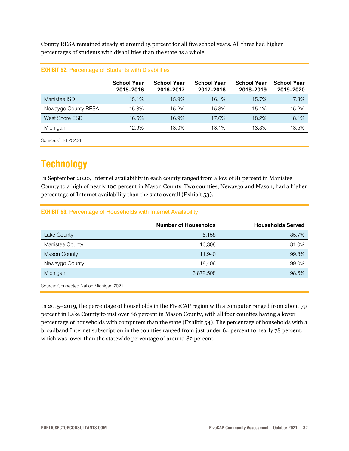County RESA remained steady at around 15 percent for all five school years. All three had higher percentages of students with disabilities than the state as a whole.

|                     | <b>School Year</b><br>2015-2016 | <b>School Year</b><br>2016-2017 | <b>School Year</b><br>2017-2018 | <b>School Year</b><br>2018-2019 | <b>School Year</b><br>2019-2020 |
|---------------------|---------------------------------|---------------------------------|---------------------------------|---------------------------------|---------------------------------|
| Manistee ISD        | 15.1%                           | 15.9%                           | 16.1%                           | 15.7%                           | 17.3%                           |
| Newaygo County RESA | 15.3%                           | 15.2%                           | 15.3%                           | 15.1%                           | 15.2%                           |
| West Shore ESD      | 16.5%                           | 16.9%                           | 17.6%                           | 18.2%                           | 18.1%                           |
| Michigan            | 12.9%                           | 13.0%                           | 13.1%                           | 13.3%                           | 13.5%                           |
|                     |                                 |                                 |                                 |                                 |                                 |

#### **EXHIBIT 52.** Percentage of Students with Disabilities

Source: CEPI 2020d

### <span id="page-31-0"></span>**Technology**

In September 2020, Internet availability in each county ranged from a low of 81 percent in Manistee County to a high of nearly 100 percent in Mason County. Two counties, Newaygo and Mason, had a higher percentage of Internet availability than the state overall (Exhibit 53).

### **EXHIBIT 53.** Percentage of Households with Internet Availability

|                     | <b>Number of Households</b> | <b>Households Served</b> |
|---------------------|-----------------------------|--------------------------|
| Lake County         | 5,158                       | 85.7%                    |
| Manistee County     | 10.308                      | 81.0%                    |
| <b>Mason County</b> | 11.940                      | 99.8%                    |
| Newaygo County      | 18.406                      | 99.0%                    |
| Michigan            | 3,872,508                   | 98.6%                    |

Source: Connected Nation Michigan 2021

In 2015–2019, the percentage of households in the FiveCAP region with a computer ranged from about 79 percent in Lake County to just over 86 percent in Mason County, with all four counties having a lower percentage of households with computers than the state (Exhibit 54). The percentage of households with a broadband Internet subscription in the counties ranged from just under 64 percent to nearly 78 percent, which was lower than the statewide percentage of around 82 percent.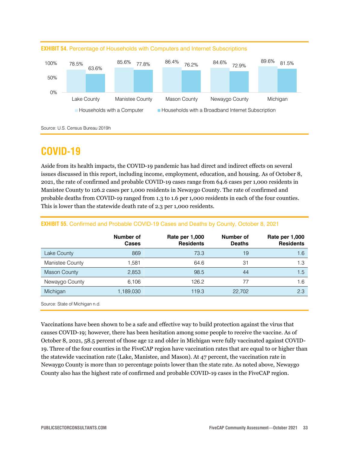



### <span id="page-32-0"></span>**COVID-19**

Aside from its health impacts, the COVID-19 pandemic has had direct and indirect effects on several issues discussed in this report, including income, employment, education, and housing. As of October 8, 2021, the rate of confirmed and probable COVID-19 cases range from 64.6 cases per 1,000 residents in Manistee County to 126.2 cases per 1,000 residents in Newaygo County. The rate of confirmed and probable deaths from COVID-19 ranged from 1.3 to 1.6 per 1,000 residents in each of the four counties. This is lower than the statewide death rate of 2.3 per 1,000 residents.

|                     | Number of<br><b>Cases</b> | Rate per 1,000<br><b>Residents</b> | Number of<br><b>Deaths</b> | Rate per 1,000<br><b>Residents</b> |
|---------------------|---------------------------|------------------------------------|----------------------------|------------------------------------|
| Lake County         | 869                       | 73.3                               | 19                         | 1.6                                |
| Manistee County     | 1.581                     | 64.6                               | 31                         | 1.3                                |
| <b>Mason County</b> | 2,853                     | 98.5                               | 44                         | 1.5                                |
| Newaygo County      | 6.106                     | 126.2                              | 77                         | 1.6                                |
| Michigan            | 1,189,030                 | 119.3                              | 22,702                     | 2.3                                |
|                     |                           |                                    |                            |                                    |

#### **EXHIBIT 55.** Confirmed and Probable COVID-19 Cases and Deaths by County, October 8, 2021

Source: State of Michigan n.d.

Vaccinations have been shown to be a safe and effective way to build protection against the virus that causes COVID-19; however, there has been hesitation among some people to receive the vaccine. As of October 8, 2021, 58.5 percent of those age 12 and older in Michigan were fully vaccinated against COVID-19. Three of the four counties in the FiveCAP region have vaccination rates that are equal to or higher than the statewide vaccination rate (Lake, Manistee, and Mason). At 47 percent, the vaccination rate in Newaygo County is more than 10 percentage points lower than the state rate. As noted above, Newaygo County also has the highest rate of confirmed and probable COVID-19 cases in the FiveCAP region.

Source: U.S. Census Bureau 2019h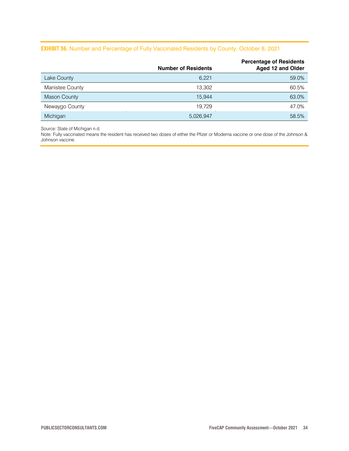#### **EXHIBIT 56.** Number and Percentage of Fully Vaccinated Residents by County, October 8, 2021

|                     | <b>Number of Residents</b> | <b>Percentage of Residents</b><br>Aged 12 and Older |
|---------------------|----------------------------|-----------------------------------------------------|
| Lake County         | 6,221                      | 59.0%                                               |
| Manistee County     | 13.302                     | 60.5%                                               |
| <b>Mason County</b> | 15.944                     | 63.0%                                               |
| Newaygo County      | 19.729                     | 47.0%                                               |
| Michigan            | 5,026,947                  | 58.5%                                               |

Source: State of Michigan n.d.

Note: Fully vaccinated means the resident has received two doses of either the Pfizer or Moderna vaccine or one dose of the Johnson & Johnson vaccine.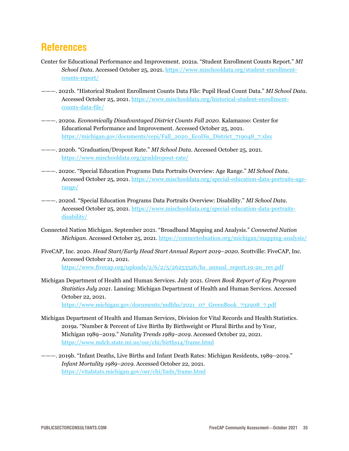### <span id="page-34-0"></span>**References**

- Center for Educational Performance and Improvement. 2021a. "Student Enrollment Counts Report." *MI School Data.* Accessed October 25, 2021. [https://www.mischooldata.org/student-enrollment](https://www.mischooldata.org/student-enrollment-counts-report/)[counts-report/](https://www.mischooldata.org/student-enrollment-counts-report/)
- ———. 2021b. "Historical Student Enrollment Counts Data File: Pupil Head Count Data." *MI School Data.*  Accessed October 25, 2021. [https://www.mischooldata.org/historical-student-enrollment](https://www.mischooldata.org/historical-student-enrollment-counts-data-file/)[counts-data-file/](https://www.mischooldata.org/historical-student-enrollment-counts-data-file/)
- ———. 2020a. *Economically Disadvantaged District Counts Fall 2020.* Kalamazoo: Center for Educational Performance and Improvement. Accessed October 25, 2021. [https://michigan.gov/documents/cepi/Fall\\_2020\\_EcoDis\\_District\\_719048\\_7.xlsx](https://michigan.gov/documents/cepi/Fall_2020_EcoDis_District_719048_7.xlsx)
- ———. 2020b. "Graduation/Dropout Rate." *MI School Data.* Accessed October 25, 2021. <https://www.mischooldata.org/graddropout-rate/>
- ———. 2020c. "Special Education Programs Data Portraits Overview: Age Range." *MI School Data.*  Accessed October 25, 2021[. https://www.mischooldata.org/special-education-data-portraits-age](https://www.mischooldata.org/special-education-data-portraits-age-range/)[range/](https://www.mischooldata.org/special-education-data-portraits-age-range/)
- ———. 2020d. "Special Education Programs Data Portraits Overview: Disability." *MI School Data.*  Accessed October 25, 2021[. https://www.mischooldata.org/special-education-data-portraits](https://www.mischooldata.org/special-education-data-portraits-disability/)[disability/](https://www.mischooldata.org/special-education-data-portraits-disability/)
- Connected Nation Michigan. September 2021. "Broadband Mapping and Analysis." *Connected Nation Michigan.* Accessed October 25, 2021.<https://connectednation.org/michigan/mapping-analysis/>
- FiveCAP, Inc. 2020. *Head Start/Early Head Start Annual Report 2019–2020.* Scottville: FiveCAP, Inc. Accessed October 21, 2021. https://www.fivecap.org/uploads/2/6/2/5/26253526/hs annual report.19-20 rev.pdf
- Michigan Department of Health and Human Services. July 2021. *Green Book Report of Key Program Statistics July 2021.* Lansing: Michigan Department of Health and Human Services. Accessed October 22, 2021. [https://www.michigan.gov/documents/mdhhs/2021\\_07\\_GreenBook\\_732908\\_7.pdf](https://www.michigan.gov/documents/mdhhs/2021_07_GreenBook_732908_7.pdf)

- Michigan Department of Health and Human Services, Division for Vital Records and Health Statistics. 2019a. "Number & Percent of Live Births By Birthweight or Plural Births and by Year, Michigan 1989–2019." *Natality Trends 1989–2019.* Accessed October 22, 2021. <https://www.mdch.state.mi.us/osr/chi/births14/frame.html>
- ———. 2019b. "Infant Deaths, Live Births and Infant Death Rates: Michigan Residents, 1989–2019." *Infant Mortality 1989–2019.* Accessed October 22, 2021. <https://vitalstats.michigan.gov/osr/chi/Indx/frame.html>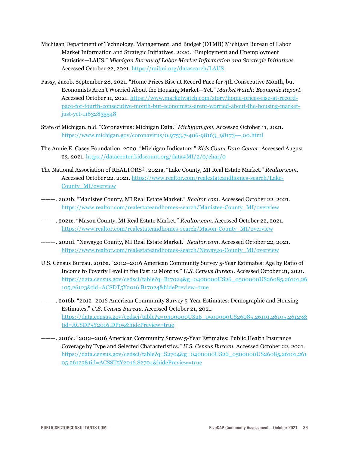- Michigan Department of Technology, Management, and Budget (DTMB) Michigan Bureau of Labor Market Information and Strategic Initiatives. 2020. "Employment and Unemployment Statistics—LAUS." *Michigan Bureau of Labor Market Information and Strategic Initiatives.*  Accessed October 22, 2021.<https://milmi.org/datasearch/LAUS>
- Passy, Jacob. September 28, 2021. "Home Prices Rise at Record Pace for 4th Consecutive Month, but Economists Aren't Worried About the Housing Market—Yet." *MarketWatch: Economic Report.*  Accessed October 11, 2021. [https://www.marketwatch.com/story/home-prices-rise-at-record](https://www.marketwatch.com/story/home-prices-rise-at-record-pace-for-fourth-consecutive-month-but-economists-arent-worried-about-the-housing-market-just-yet-11632835548)[pace-for-fourth-consecutive-month-but-economists-arent-worried-about-the-housing-market](https://www.marketwatch.com/story/home-prices-rise-at-record-pace-for-fourth-consecutive-month-but-economists-arent-worried-about-the-housing-market-just-yet-11632835548)[just-yet-11632835548](https://www.marketwatch.com/story/home-prices-rise-at-record-pace-for-fourth-consecutive-month-but-economists-arent-worried-about-the-housing-market-just-yet-11632835548)
- State of Michigan. n.d. "Coronavirus: Michigan Data." *Michigan.gov.* Accessed October 11, 2021. [https://www.michigan.gov/coronavirus/0,9753,7-406-98163\\_98173---,00.html](https://www.michigan.gov/coronavirus/0,9753,7-406-98163_98173---,00.html)
- The Annie E. Casey Foundation. 2020. "Michigan Indicators." *Kids Count Data Center.* Accessed August 23, 2021.<https://datacenter.kidscount.org/data#MI/2/0/char/0>
- The National Association of REALTORS®. 2021a. "Lake County, MI Real Estate Market." *Realtor.com.* Accessed October 22, 2021. [https://www.realtor.com/realestateandhomes-search/Lake-](https://www.realtor.com/realestateandhomes-search/Lake-County_MI/overview)[County\\_MI/overview](https://www.realtor.com/realestateandhomes-search/Lake-County_MI/overview)
- ———. 2021b. "Manistee County, MI Real Estate Market." *Realtor.com.* Accessed October 22, 2021. [https://www.realtor.com/realestateandhomes-search/Manistee-County\\_MI/overview](https://www.realtor.com/realestateandhomes-search/Manistee-County_MI/overview)
- ———. 2021c. "Mason County, MI Real Estate Market." *Realtor.com.* Accessed October 22, 2021. [https://www.realtor.com/realestateandhomes-search/Mason-County\\_MI/overview](https://www.realtor.com/realestateandhomes-search/Mason-County_MI/overview)
- ———. 2021d. "Newaygo County, MI Real Estate Market." *Realtor.com.* Accessed October 22, 2021. [https://www.realtor.com/realestateandhomes-search/Newaygo-County\\_MI/overview](https://www.realtor.com/realestateandhomes-search/Newaygo-County_MI/overview)
- U.S. Census Bureau. 2016a. "2012–2016 American Community Survey 5-Year Estimates: Age by Ratio of Income to Poverty Level in the Past 12 Months." *U.S. Census Bureau.* Accessed October 21, 2021. [https://data.census.gov/cedsci/table?q=B17024&g=0400000US26\\_0500000US26085,26101,26](https://data.census.gov/cedsci/table?q=B17024&g=0400000US26_0500000US26085,26101,26105,26123&tid=ACSDT5Y2016.B17024&hidePreview=true) [105,26123&tid=ACSDT5Y2016.B17024&hidePreview=true](https://data.census.gov/cedsci/table?q=B17024&g=0400000US26_0500000US26085,26101,26105,26123&tid=ACSDT5Y2016.B17024&hidePreview=true)
- ———. 2016b. "2012–2016 American Community Survey 5-Year Estimates: Demographic and Housing Estimates." *U.S. Census Bureau.* Accessed October 21, 2021. [https://data.census.gov/cedsci/table?g=0400000US26\\_0500000US26085,26101,26105,26123&](https://data.census.gov/cedsci/table?g=0400000US26_0500000US26085,26101,26105,26123&tid=ACSDP5Y2016.DP05&hidePreview=true) [tid=ACSDP5Y2016.DP05&hidePreview=true](https://data.census.gov/cedsci/table?g=0400000US26_0500000US26085,26101,26105,26123&tid=ACSDP5Y2016.DP05&hidePreview=true)
- ———. 2016c. "2012–2016 American Community Survey 5-Year Estimates: Public Health Insurance Coverage by Type and Selected Characteristics." *U.S. Census Bureau.* Accessed October 22, 2021. [https://data.census.gov/cedsci/table?q=S2704&g=0400000US26\\_0500000US26085,26101,261](https://data.census.gov/cedsci/table?q=S2704&g=0400000US26_0500000US26085,26101,26105,26123&tid=ACSST5Y2016.S2704&hidePreview=true) [05,26123&tid=ACSST5Y2016.S2704&hidePreview=true](https://data.census.gov/cedsci/table?q=S2704&g=0400000US26_0500000US26085,26101,26105,26123&tid=ACSST5Y2016.S2704&hidePreview=true)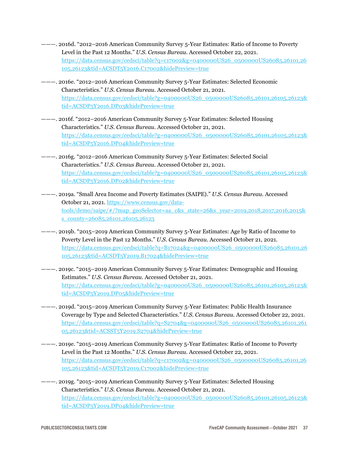- ———. 2016d. "2012–2016 American Community Survey 5-Year Estimates: Ratio of Income to Poverty Level in the Past 12 Months." *U.S. Census Bureau.* Accessed October 22, 2021. [https://data.census.gov/cedsci/table?q=c17002&g=0400000US26\\_0500000US26085,26101,26](https://data.census.gov/cedsci/table?q=c17002&g=0400000US26_0500000US26085,26101,26105,26123&tid=ACSDT5Y2016.C17002&hidePreview=true) [105,26123&tid=ACSDT5Y2016.C17002&hidePreview=true](https://data.census.gov/cedsci/table?q=c17002&g=0400000US26_0500000US26085,26101,26105,26123&tid=ACSDT5Y2016.C17002&hidePreview=true)
- ———. 2016e. "2012–2016 American Community Survey 5-Year Estimates: Selected Economic Characteristics." *U.S. Census Bureau.* Accessed October 21, 2021. [https://data.census.gov/cedsci/table?g=0400000US26\\_0500000US26085,26101,26105,26123&](https://data.census.gov/cedsci/table?g=0400000US26_0500000US26085,26101,26105,26123&tid=ACSDP5Y2016.DP03&hidePreview=true) [tid=ACSDP5Y2016.DP03&hidePreview=true](https://data.census.gov/cedsci/table?g=0400000US26_0500000US26085,26101,26105,26123&tid=ACSDP5Y2016.DP03&hidePreview=true)
- ———. 2016f. "2012–2016 American Community Survey 5-Year Estimates: Selected Housing Characteristics." *U.S. Census Bureau.* Accessed October 21, 2021. [https://data.census.gov/cedsci/table?g=0400000US26\\_0500000US26085,26101,26105,26123&](https://data.census.gov/cedsci/table?g=0400000US26_0500000US26085,26101,26105,26123&tid=ACSDP5Y2016.DP04&hidePreview=true) [tid=ACSDP5Y2016.DP04&hidePreview=true](https://data.census.gov/cedsci/table?g=0400000US26_0500000US26085,26101,26105,26123&tid=ACSDP5Y2016.DP04&hidePreview=true)
- ———. 2016g. "2012–2016 American Community Survey 5-Year Estimates: Selected Social Characteristics." *U.S. Census Bureau.* Accessed October 21, 2021. [https://data.census.gov/cedsci/table?g=0400000US26\\_0500000US26085,26101,26105,26123&](https://data.census.gov/cedsci/table?g=0400000US26_0500000US26085,26101,26105,26123&tid=ACSDP5Y2016.DP02&hidePreview=true) [tid=ACSDP5Y2016.DP02&hidePreview=true](https://data.census.gov/cedsci/table?g=0400000US26_0500000US26085,26101,26105,26123&tid=ACSDP5Y2016.DP02&hidePreview=true)
- ———. 2019a. "Small Area Income and Poverty Estimates (SAIPE)." *U.S. Census Bureau.* Accessed October 21, 2021[. https://www.census.gov/data](https://www.census.gov/data-tools/demo/saipe/#/?map_geoSelector=aa_c&s_state=26&s_year=2019,2018,2017,2016,2015&s_county=26085,26101,26105,26123)[tools/demo/saipe/#/?map\\_geoSelector=aa\\_c&s\\_state=26&s\\_year=2019,2018,2017,2016,2015&](https://www.census.gov/data-tools/demo/saipe/#/?map_geoSelector=aa_c&s_state=26&s_year=2019,2018,2017,2016,2015&s_county=26085,26101,26105,26123) [s\\_county=26085,26101,26105,26123](https://www.census.gov/data-tools/demo/saipe/#/?map_geoSelector=aa_c&s_state=26&s_year=2019,2018,2017,2016,2015&s_county=26085,26101,26105,26123)
- ———. 2019b. "2015–2019 American Community Survey 5-Year Estimates: Age by Ratio of Income to Poverty Level in the Past 12 Months." *U.S. Census Bureau.* Accessed October 21, 2021. [https://data.census.gov/cedsci/table?q=B17024&g=0400000US26\\_0500000US26085,26101,26](https://data.census.gov/cedsci/table?q=B17024&g=0400000US26_0500000US26085,26101,26105,26123&tid=ACSDT5Y2019.B17024&hidePreview=true) [105,26123&tid=ACSDT5Y2019.B17024&hidePreview=true](https://data.census.gov/cedsci/table?q=B17024&g=0400000US26_0500000US26085,26101,26105,26123&tid=ACSDT5Y2019.B17024&hidePreview=true)
- ———. 2019c. "2015–2019 American Community Survey 5-Year Estimates: Demographic and Housing Estimates." *U.S. Census Bureau.* Accessed October 21, 2021. [https://data.census.gov/cedsci/table?g=0400000US26\\_0500000US26085,26101,26105,26123&](https://data.census.gov/cedsci/table?g=0400000US26_0500000US26085,26101,26105,26123&tid=ACSDP5Y2019.DP05&hidePreview=true) [tid=ACSDP5Y2019.DP05&hidePreview=true](https://data.census.gov/cedsci/table?g=0400000US26_0500000US26085,26101,26105,26123&tid=ACSDP5Y2019.DP05&hidePreview=true)
- ———. 2019d. "2015–2019 American Community Survey 5-Year Estimates: Public Health Insurance Coverage by Type and Selected Characteristics." *U.S. Census Bureau.* Accessed October 22, 2021. [https://data.census.gov/cedsci/table?q=S2704&g=0400000US26\\_0500000US26085,26101,261](https://data.census.gov/cedsci/table?q=S2704&g=0400000US26_0500000US26085,26101,26105,26123&tid=ACSST5Y2019.S2704&hidePreview=true) [05,26123&tid=ACSST5Y2019.S2704&hidePreview=true](https://data.census.gov/cedsci/table?q=S2704&g=0400000US26_0500000US26085,26101,26105,26123&tid=ACSST5Y2019.S2704&hidePreview=true)
- ———. 2019e. "2015–2019 American Community Survey 5-Year Estimates: Ratio of Income to Poverty Level in the Past 12 Months." *U.S. Census Bureau.* Accessed October 22, 2021. [https://data.census.gov/cedsci/table?q=c17002&g=0400000US26\\_0500000US26085,26101,26](https://data.census.gov/cedsci/table?q=c17002&g=0400000US26_0500000US26085,26101,26105,26123&tid=ACSDT5Y2019.C17002&hidePreview=true) [105,26123&tid=ACSDT5Y2019.C17002&hidePreview=true](https://data.census.gov/cedsci/table?q=c17002&g=0400000US26_0500000US26085,26101,26105,26123&tid=ACSDT5Y2019.C17002&hidePreview=true)
- ———. 2019g. "2015–2019 American Community Survey 5-Year Estimates: Selected Housing Characteristics." *U.S. Census Bureau.* Accessed October 21, 2021. [https://data.census.gov/cedsci/table?g=0400000US26\\_0500000US26085,26101,26105,26123&](https://data.census.gov/cedsci/table?g=0400000US26_0500000US26085,26101,26105,26123&tid=ACSDP5Y2019.DP04&hidePreview=true) [tid=ACSDP5Y2019.DP04&hidePreview=true](https://data.census.gov/cedsci/table?g=0400000US26_0500000US26085,26101,26105,26123&tid=ACSDP5Y2019.DP04&hidePreview=true)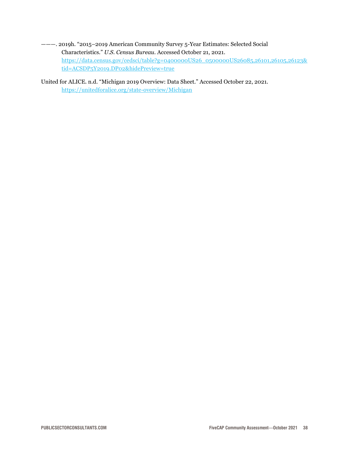- ———. 2019h. "2015–2019 American Community Survey 5-Year Estimates: Selected Social Characteristics." *U.S. Census Bureau.* Accessed October 21, 2021. [https://data.census.gov/cedsci/table?g=0400000US26\\_0500000US26085,26101,26105,26123&](https://data.census.gov/cedsci/table?g=0400000US26_0500000US26085,26101,26105,26123&tid=ACSDP5Y2019.DP02&hidePreview=true) [tid=ACSDP5Y2019.DP02&hidePreview=true](https://data.census.gov/cedsci/table?g=0400000US26_0500000US26085,26101,26105,26123&tid=ACSDP5Y2019.DP02&hidePreview=true)
- United for ALICE. n.d. "Michigan 2019 Overview: Data Sheet." Accessed October 22, 2021. <https://unitedforalice.org/state-overview/Michigan>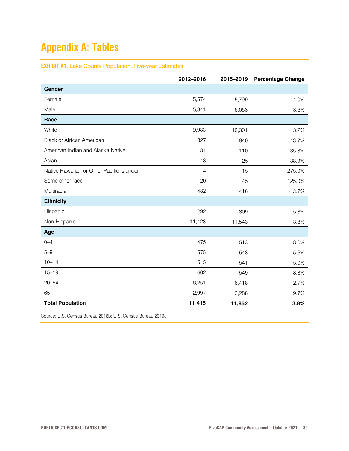### <span id="page-38-0"></span>**Appendix A: Tables**

### **EXHIBIT A1.** Lake County Population, Five-year Estimates

|                                           | 2012-2016 | 2015-2019 | <b>Percentage Change</b> |
|-------------------------------------------|-----------|-----------|--------------------------|
| Gender                                    |           |           |                          |
| Female                                    | 5,574     | 5,799     | 4.0%                     |
| Male                                      | 5,841     | 6,053     | 3.6%                     |
| Race                                      |           |           |                          |
| White                                     | 9,983     | 10,301    | 3.2%                     |
| <b>Black or African American</b>          | 827       | 940       | 13.7%                    |
| American Indian and Alaska Native         | 81        | 110       | 35.8%                    |
| Asian                                     | 18        | 25        | 38.9%                    |
| Native Hawaiian or Other Pacific Islander | 4         | 15        | 275.0%                   |
| Some other race                           | 20        | 45        | 125.0%                   |
| Multiracial                               | 482       | 416       | $-13.7%$                 |
| <b>Ethnicity</b>                          |           |           |                          |
| Hispanic                                  | 292       | 309       | 5.8%                     |
| Non-Hispanic                              | 11,123    | 11,543    | 3.8%                     |
| Age                                       |           |           |                          |
| $0 - 4$                                   | 475       | 513       | 8.0%                     |
| $5 - 9$                                   | 575       | 543       | $-5.6%$                  |
| $10 - 14$                                 | 515       | 541       | 5.0%                     |
| $15 - 19$                                 | 602       | 549       | $-8.8%$                  |
| $20 - 64$                                 | 6,251     | 6,418     | 2.7%                     |
| $65+$                                     | 2,997     | 3,288     | 9.7%                     |
| <b>Total Population</b>                   | 11,415    | 11,852    | 3.8%                     |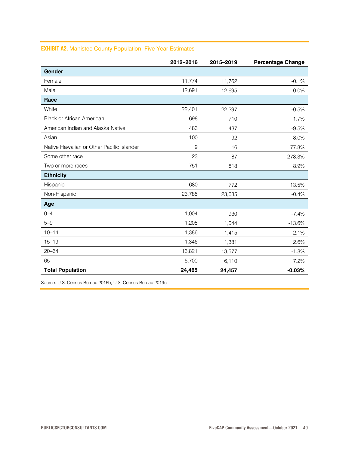|                                           | 2012-2016 | 2015-2019 | <b>Percentage Change</b> |
|-------------------------------------------|-----------|-----------|--------------------------|
| Gender                                    |           |           |                          |
| Female                                    | 11,774    | 11,762    | $-0.1%$                  |
| Male                                      | 12,691    | 12,695    | 0.0%                     |
| Race                                      |           |           |                          |
| White                                     | 22,401    | 22,297    | $-0.5%$                  |
| <b>Black or African American</b>          | 698       | 710       | 1.7%                     |
| American Indian and Alaska Native         | 483       | 437       | $-9.5%$                  |
| Asian                                     | 100       | 92        | $-8.0%$                  |
| Native Hawaiian or Other Pacific Islander | 9         | 16        | 77.8%                    |
| Some other race                           | 23        | 87        | 278.3%                   |
| Two or more races                         | 751       | 818       | 8.9%                     |
| <b>Ethnicity</b>                          |           |           |                          |
| Hispanic                                  | 680       | 772       | 13.5%                    |
| Non-Hispanic                              | 23,785    | 23,685    | $-0.4%$                  |
| Age                                       |           |           |                          |
| $0 - 4$                                   | 1,004     | 930       | $-7.4%$                  |
| $5 - 9$                                   | 1,208     | 1,044     | $-13.6%$                 |
| $10 - 14$                                 | 1,386     | 1,415     | 2.1%                     |
| $15 - 19$                                 | 1,346     | 1,381     | 2.6%                     |
| $20 - 64$                                 | 13,821    | 13,577    | $-1.8%$                  |
| $65+$                                     | 5,700     | 6,110     | 7.2%                     |
| <b>Total Population</b>                   | 24,465    | 24,457    | $-0.03%$                 |

### **EXHIBIT A2.** Manistee County Population, Five-Year Estimates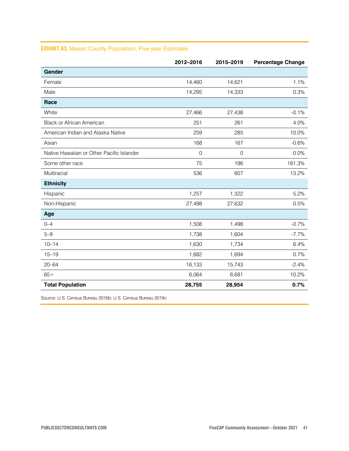| <b>EXHIBIT A3. Mason County Population, Five-year Estimates</b> |  |  |
|-----------------------------------------------------------------|--|--|
|-----------------------------------------------------------------|--|--|

|                                           | 2012-2016   | 2015-2019           | <b>Percentage Change</b> |
|-------------------------------------------|-------------|---------------------|--------------------------|
| Gender                                    |             |                     |                          |
| Female                                    | 14,460      | 14,621              | 1.1%                     |
| Male                                      | 14,295      | 14,333              | 0.3%                     |
| Race                                      |             |                     |                          |
| White                                     | 27,466      | 27,438              | $-0.1%$                  |
| <b>Black or African American</b>          | 251         | 261                 | 4.0%                     |
| American Indian and Alaska Native         | 259         | 285                 | 10.0%                    |
| Asian                                     | 168         | 167                 | $-0.6%$                  |
| Native Hawaiian or Other Pacific Islander | $\mathbf 0$ | $\mathsf{O}\xspace$ | 0.0%                     |
| Some other race                           | 75          | 196                 | 161.3%                   |
| Multiracial                               | 536         | 607                 | 13.2%                    |
| <b>Ethnicity</b>                          |             |                     |                          |
| Hispanic                                  | 1,257       | 1,322               | 5.2%                     |
| Non-Hispanic                              | 27,498      | 27,632              | 0.5%                     |
| Age                                       |             |                     |                          |
| $0 - 4$                                   | 1,508       | 1,498               | $-0.7%$                  |
| $5 - 9$                                   | 1,738       | 1,604               | $-7.7%$                  |
| $10 - 14$                                 | 1,630       | 1,734               | 6.4%                     |
| $15 - 19$                                 | 1,682       | 1,694               | 0.7%                     |
| $20 - 64$                                 | 16,133      | 15,743              | $-2.4%$                  |
| $65+$                                     | 6,064       | 6,681               | 10.2%                    |
| <b>Total Population</b>                   | 28,755      | 28,954              | 0.7%                     |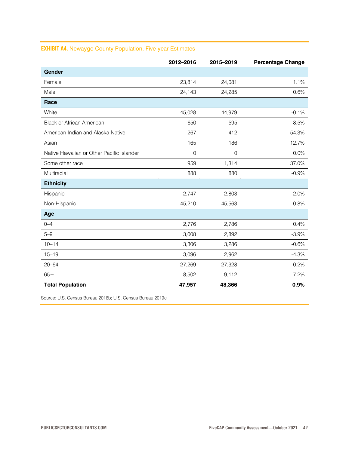|                                           | 2012-2016           | 2015-2019      | <b>Percentage Change</b> |
|-------------------------------------------|---------------------|----------------|--------------------------|
| Gender                                    |                     |                |                          |
| Female                                    | 23,814              | 24,081         | 1.1%                     |
| Male                                      | 24,143              | 24,285         | 0.6%                     |
| Race                                      |                     |                |                          |
| White                                     | 45,028              | 44,979         | $-0.1%$                  |
| <b>Black or African American</b>          | 650                 | 595            | $-8.5%$                  |
| American Indian and Alaska Native         | 267                 | 412            | 54.3%                    |
| Asian                                     | 165                 | 186            | 12.7%                    |
| Native Hawaiian or Other Pacific Islander | $\mathsf{O}\xspace$ | $\overline{0}$ | 0.0%                     |
| Some other race                           | 959                 | 1,314          | 37.0%                    |
| Multiracial                               | 888                 | 880            | $-0.9%$                  |
| <b>Ethnicity</b>                          |                     |                |                          |
| Hispanic                                  | 2,747               | 2,803          | 2.0%                     |
| Non-Hispanic                              | 45,210              | 45,563         | 0.8%                     |
| Age                                       |                     |                |                          |
| $0 - 4$                                   | 2,776               | 2,786          | 0.4%                     |
| $5 - 9$                                   | 3,008               | 2,892          | $-3.9%$                  |
| $10 - 14$                                 | 3,306               | 3,286          | $-0.6%$                  |
| $15 - 19$                                 | 3,096               | 2,962          | $-4.3%$                  |
| $20 - 64$                                 | 27,269              | 27,328         | 0.2%                     |
| $65+$                                     | 8,502               | 9,112          | 7.2%                     |
| <b>Total Population</b>                   | 47,957              | 48,366         | 0.9%                     |

### **EXHIBIT A4.** Newaygo County Population, Five-year Estimates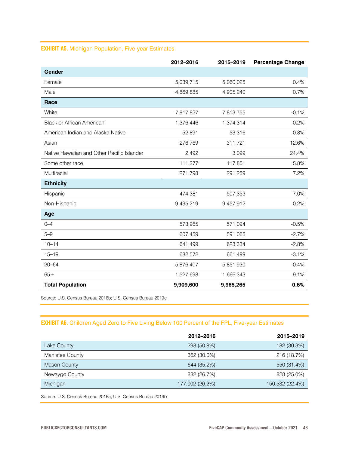|  |  |  | <b>EXHIBIT A5. Michigan Population, Five-year Estimates</b> |
|--|--|--|-------------------------------------------------------------|
|  |  |  |                                                             |

|                                            | 2012-2016 | 2015-2019 | <b>Percentage Change</b> |
|--------------------------------------------|-----------|-----------|--------------------------|
| Gender                                     |           |           |                          |
| Female                                     | 5,039,715 | 5,060,025 | 0.4%                     |
| Male                                       | 4,869,885 | 4,905,240 | 0.7%                     |
| Race                                       |           |           |                          |
| White                                      | 7,817,827 | 7,813,755 | $-0.1%$                  |
| <b>Black or African American</b>           | 1,376,446 | 1,374,314 | $-0.2%$                  |
| American Indian and Alaska Native          | 52,891    | 53,316    | 0.8%                     |
| Asian                                      | 276,769   | 311,721   | 12.6%                    |
| Native Hawaiian and Other Pacific Islander | 2,492     | 3,099     | 24.4%                    |
| Some other race                            | 111,377   | 117,801   | 5.8%                     |
| Multiracial                                | 271,798   | 291,259   | 7.2%                     |
| <b>Ethnicity</b>                           |           |           |                          |
| Hispanic                                   | 474,381   | 507,353   | 7.0%                     |
| Non-Hispanic                               | 9,435,219 | 9,457,912 | 0.2%                     |
| Age                                        |           |           |                          |
| $0 - 4$                                    | 573,965   | 571,094   | $-0.5%$                  |
| $5 - 9$                                    | 607,459   | 591,065   | $-2.7%$                  |
| $10 - 14$                                  | 641,499   | 623,334   | $-2.8%$                  |
| $15 - 19$                                  | 682,572   | 661,499   | $-3.1%$                  |
| $20 - 64$                                  | 5,876,407 | 5,851,930 | $-0.4%$                  |
| $65+$                                      | 1,527,698 | 1,666,343 | 9.1%                     |
| <b>Total Population</b>                    | 9,909,600 | 9,965,265 | 0.6%                     |

Source: U.S. Census Bureau 2016b; U.S. Census Bureau 2019c

### **EXHIBIT A6.** Children Aged Zero to Five Living Below 100 Percent of the FPL, Five-year Estimates

|                     | 2012-2016       | 2015-2019       |
|---------------------|-----------------|-----------------|
| Lake County         | 298 (50.8%)     | 182 (30.3%)     |
| Manistee County     | 362 (30.0%)     | 216 (18.7%)     |
| <b>Mason County</b> | 644 (35.2%)     | 550 (31.4%)     |
| Newaygo County      | 882 (26.7%)     | 828 (25.0%)     |
| Michigan            | 177,002 (26.2%) | 150,532 (22.4%) |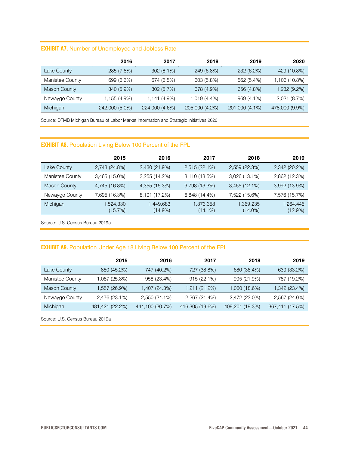### **EXHIBIT A7.** Number of Unemployed and Jobless Rate

|                 | 2016           | 2017           | 2018           | 2019           | 2020           |
|-----------------|----------------|----------------|----------------|----------------|----------------|
| Lake County     | 285 (7.6%)     | 302(8.1%)      | 249 (6.8%)     | 232 (6.2%)     | 429 (10.8%)    |
| Manistee County | 699 (6.6%)     | 674 (6.5%)     | 603 (5.8%)     | 562 (5.4%)     | 1,106 (10.8%)  |
| Mason County    | 840 (5.9%)     | 802 (5.7%)     | 678 (4.9%)     | 656 (4.8%)     | 1,232 (9.2%)   |
| Newaygo County  | 1,155 (4.9%)   | 1,141 (4.9%)   | 1,019 (4.4%)   | 969 (4.1%)     | 2,021 (8.7%)   |
| Michigan        | 242,000 (5.0%) | 224,000 (4.6%) | 205,000 (4.2%) | 201,000 (4.1%) | 478,000 (9.9%) |

Source: DTMB Michigan Bureau of Labor Market Information and Strategic Initiatives 2020

### **EXHIBIT A8.** Population Living Below 100 Percent of the FPL

|                     | 2015                 | 2016                 | 2017                 | 2018                    | 2019                 |
|---------------------|----------------------|----------------------|----------------------|-------------------------|----------------------|
| Lake County         | 2,743 (24.8%)        | 2,430 (21.9%)        | 2,515 (22.1%)        | 2,559 (22.3%)           | 2,342 (20.2%)        |
| Manistee County     | 3,465 (15.0%)        | 3,255 (14.2%)        | 3,110 (13.5%)        | 3,026 (13.1%)           | 2,862 (12.3%)        |
| <b>Mason County</b> | 4,745 (16.8%)        | 4,355 (15.3%)        | 3,798 (13.3%)        | 3,455 (12.1%)           | 3,992 (13.9%)        |
| Newaygo County      | 7,695 (16.3%)        | 8,101 (17.2%)        | 6,848 (14.4%)        | 7,522 (15.6%)           | 7,576 (15.7%)        |
| Michigan            | 1,524,330<br>(15.7%) | 1,449,683<br>(14.9%) | 1,373,358<br>(14.1%) | 1,369,235<br>$(14.0\%)$ | 1,264,445<br>(12.9%) |

Source: U.S. Census Bureau 2019a

### **EXHIBIT A9.** Population Under Age 18 Living Below 100 Percent of the FPL

|                     | 2015            | 2016            | 2017            | 2018            | 2019            |
|---------------------|-----------------|-----------------|-----------------|-----------------|-----------------|
| Lake County         | 850 (45.2%)     | 747 (40.2%)     | 727 (38.8%)     | 680 (36.4%)     | 630 (33.2%)     |
| Manistee County     | 1,087 (25.8%)   | 958 (23.4%)     | 915 (22.1%)     | 905 (21.9%)     | 787 (19.2%)     |
| <b>Mason County</b> | 1,557 (26.9%)   | 1,407 (24.3%)   | 1,211 (21.2%)   | 1,060 (18.6%)   | 1,342 (23.4%)   |
| Newaygo County      | 2,476 (23.1%)   | 2,550 (24.1%)   | 2,267 (21.4%)   | 2,472 (23.0%)   | 2,567 (24.0%)   |
| Michigan            | 481,421 (22.2%) | 444,100 (20.7%) | 416,305 (19.6%) | 409,201 (19.3%) | 367,411 (17.5%) |

Source: U.S. Census Bureau 2019a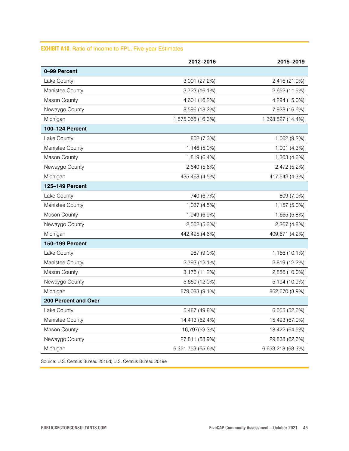### **EXHIBIT A10.** Ratio of Income to FPL, Five-year Estimates

|                      | 2012-2016         | 2015-2019         |
|----------------------|-------------------|-------------------|
| 0-99 Percent         |                   |                   |
| Lake County          | 3,001 (27.2%)     | 2,416 (21.0%)     |
| Manistee County      | 3,723 (16.1%)     | 2,652 (11.5%)     |
| Mason County         | 4,601 (16.2%)     | 4,294 (15.0%)     |
| Newaygo County       | 8,596 (18.2%)     | 7,928 (16.6%)     |
| Michigan             | 1,575,066 (16.3%) | 1,398,527 (14.4%) |
| 100-124 Percent      |                   |                   |
| Lake County          | 802 (7.3%)        | 1,062 (9.2%)      |
| Manistee County      | 1,146 (5.0%)      | 1,001 (4.3%)      |
| Mason County         | 1,819 (6.4%)      | 1,303 (4.6%)      |
| Newaygo County       | 2,640 (5.6%)      | 2,472 (5.2%)      |
| Michigan             | 435,468 (4.5%)    | 417,542 (4.3%)    |
| 125-149 Percent      |                   |                   |
| Lake County          | 740 (6.7%)        | 809 (7.0%)        |
| Manistee County      | 1,037 (4.5%)      | 1,157 (5.0%)      |
| Mason County         | 1,949 (6.9%)      | 1,665 (5.8%)      |
| Newaygo County       | 2,502 (5.3%)      | 2,267 (4.8%)      |
| Michigan             | 442,495 (4.6%)    | 409,671 (4.2%)    |
| 150-199 Percent      |                   |                   |
| Lake County          | 987 (9.0%)        | 1,166 (10.1%)     |
| Manistee County      | 2,793 (12.1%)     | 2,819 (12.2%)     |
| Mason County         | 3,176 (11.2%)     | 2,856 (10.0%)     |
| Newaygo County       | 5,660 (12.0%)     | 5,194 (10.9%)     |
| Michigan             | 879,083 (9.1%)    | 862,670 (8.9%)    |
| 200 Percent and Over |                   |                   |
| Lake County          | 5,487 (49.8%)     | 6,055 (52.6%)     |
| Manistee County      | 14,413 (62.4%)    | 15,493 (67.0%)    |
| Mason County         | 16,797(59.3%)     | 18,422 (64.5%)    |
| Newaygo County       | 27,811 (58.9%)    | 29,838 (62.6%)    |
| Michigan             | 6,351,753 (65.6%) | 6,653,218 (68.3%) |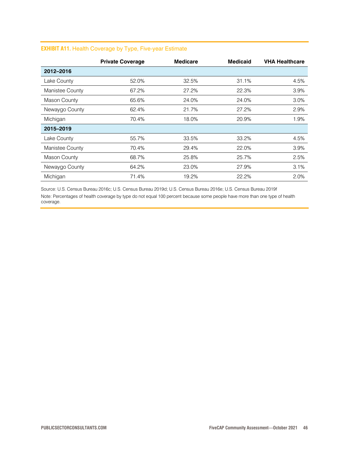|                 | <b>Private Coverage</b> | <b>Medicare</b> | <b>Medicaid</b> | <b>VHA Healthcare</b> |
|-----------------|-------------------------|-----------------|-----------------|-----------------------|
| 2012-2016       |                         |                 |                 |                       |
| Lake County     | 52.0%                   | 32.5%           | 31.1%           | 4.5%                  |
| Manistee County | 67.2%                   | 27.2%           | 22.3%           | 3.9%                  |
| Mason County    | 65.6%                   | 24.0%           | 24.0%           | 3.0%                  |
| Newaygo County  | 62.4%                   | 21.7%           | 27.2%           | 2.9%                  |
| Michigan        | 70.4%                   | 18.0%           | 20.9%           | 1.9%                  |
| 2015-2019       |                         |                 |                 |                       |
| Lake County     | 55.7%                   | 33.5%           | 33.2%           | 4.5%                  |
| Manistee County | 70.4%                   | 29.4%           | 22.0%           | 3.9%                  |
| Mason County    | 68.7%                   | 25.8%           | 25.7%           | 2.5%                  |
| Newaygo County  | 64.2%                   | 23.0%           | 27.9%           | 3.1%                  |
| Michigan        | 71.4%                   | 19.2%           | 22.2%           | 2.0%                  |

### **EXHIBIT A11.** Health Coverage by Type, Five-year Estimate

Source: U.S. Census Bureau 2016c; U.S. Census Bureau 2019d; U.S. Census Bureau 2016e; U.S. Census Bureau 2019f Note: Percentages of health coverage by type do not equal 100 percent because some people have more than one type of health coverage.